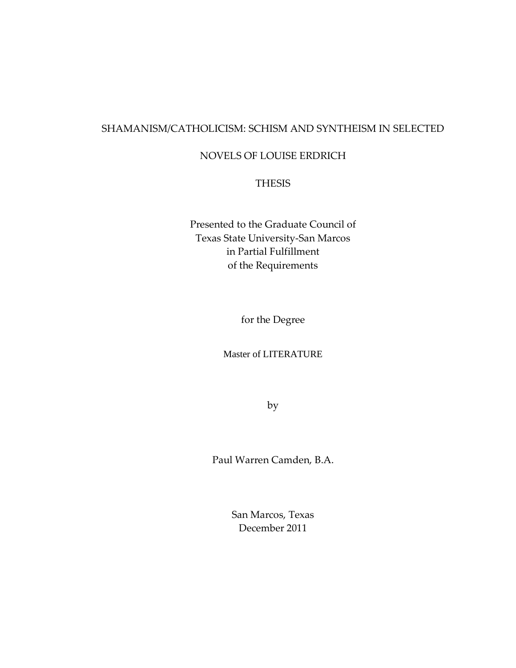## SHAMANISM/CATHOLICISM: SCHISM AND SYNTHEISM IN SELECTED

## NOVELS OF LOUISE ERDRICH

### THESIS

Presented to the Graduate Council of Texas State University-San Marcos in Partial Fulfillment of the Requirements

for the Degree

Master of LITERATURE

by

Paul Warren Camden, B.A.

San Marcos, Texas December 2011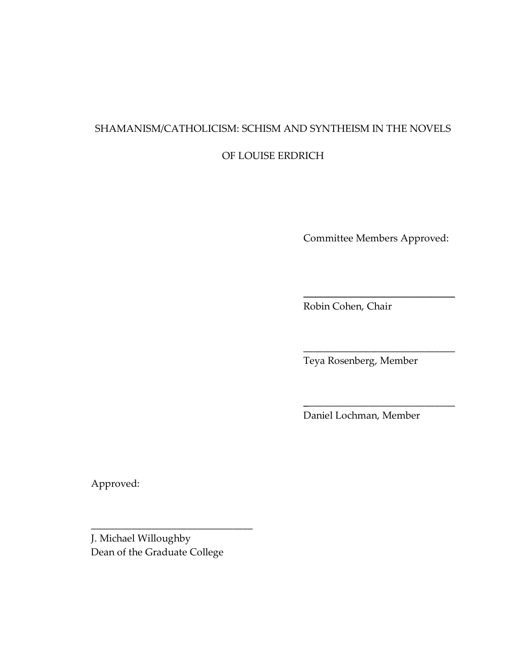# SHAMANISM/CATHOLICISM: SCHISM AND SYNTHEISM IN THE NOVELS

## OF LOUISE ERDRICH

Committee Members Approved:

\_\_\_\_\_\_\_\_\_\_\_\_\_\_\_\_\_\_\_\_\_\_\_\_\_\_\_\_\_\_

\_\_\_\_\_\_\_\_\_\_\_\_\_\_\_\_\_\_\_\_\_\_\_\_\_\_\_\_\_\_

\_\_\_\_\_\_\_\_\_\_\_\_\_\_\_\_\_\_\_\_\_\_\_\_\_\_\_\_\_\_

Robin Cohen, Chair

Teya Rosenberg, Member

Daniel Lochman, Member

Approved:

J. Michael Willoughby Dean of the Graduate College

\_\_\_\_\_\_\_\_\_\_\_\_\_\_\_\_\_\_\_\_\_\_\_\_\_\_\_\_\_\_\_\_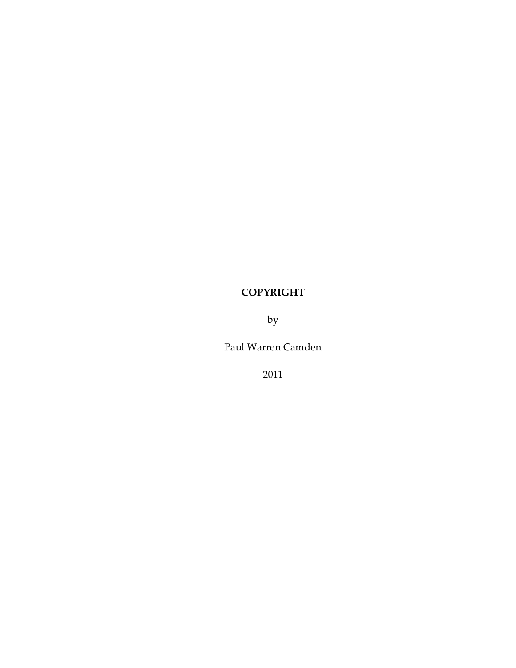## **COPYRIGHT**

by

Paul Warren Camden

2011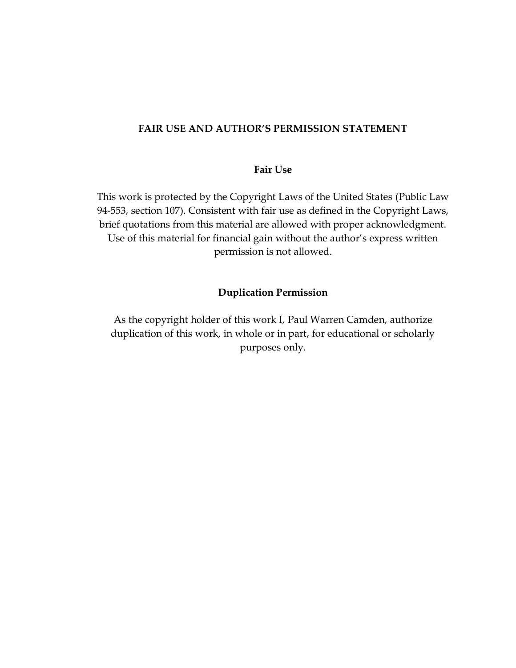### **FAIR USE AND AUTHOR'S PERMISSION STATEMENT**

### **Fair Use**

This work is protected by the Copyright Laws of the United States (Public Law 94-553, section 107). Consistent with fair use as defined in the Copyright Laws, brief quotations from this material are allowed with proper acknowledgment. Use of this material for financial gain without the author's express written permission is not allowed.

#### **Duplication Permission**

As the copyright holder of this work I, Paul Warren Camden, authorize duplication of this work, in whole or in part, for educational or scholarly purposes only.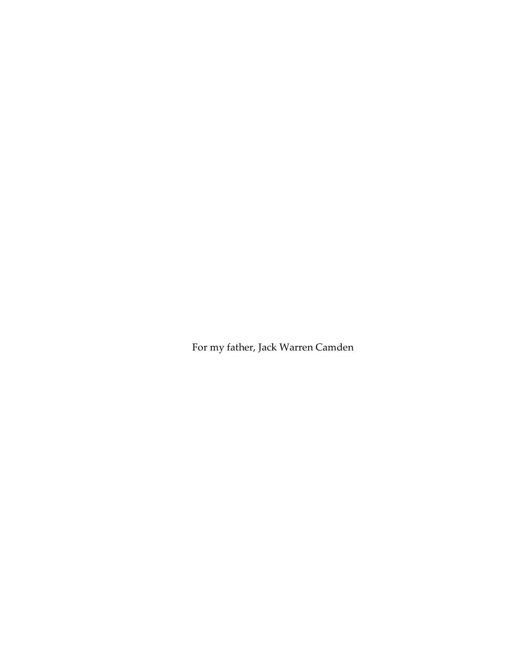For my father, Jack Warren Camden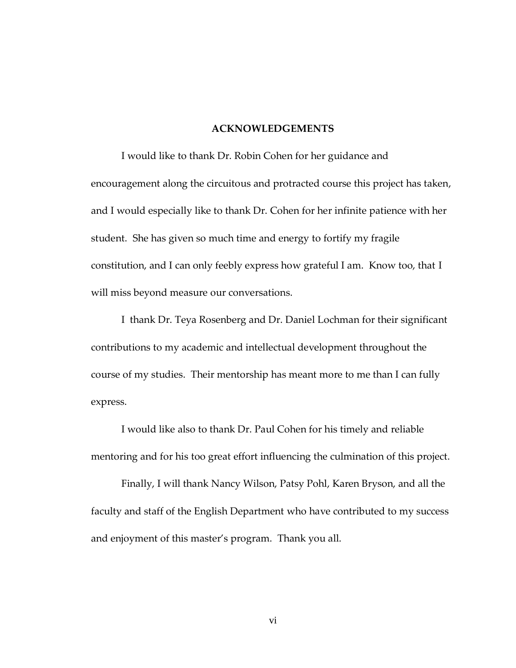#### **ACKNOWLEDGEMENTS**

I would like to thank Dr. Robin Cohen for her guidance and encouragement along the circuitous and protracted course this project has taken, and I would especially like to thank Dr. Cohen for her infinite patience with her student. She has given so much time and energy to fortify my fragile constitution, and I can only feebly express how grateful I am. Know too, that I will miss beyond measure our conversations.

I thank Dr. Teya Rosenberg and Dr. Daniel Lochman for their significant contributions to my academic and intellectual development throughout the course of my studies. Their mentorship has meant more to me than I can fully express.

I would like also to thank Dr. Paul Cohen for his timely and reliable mentoring and for his too great effort influencing the culmination of this project.

Finally, I will thank Nancy Wilson, Patsy Pohl, Karen Bryson, and all the faculty and staff of the English Department who have contributed to my success and enjoyment of this master's program. Thank you all.

vi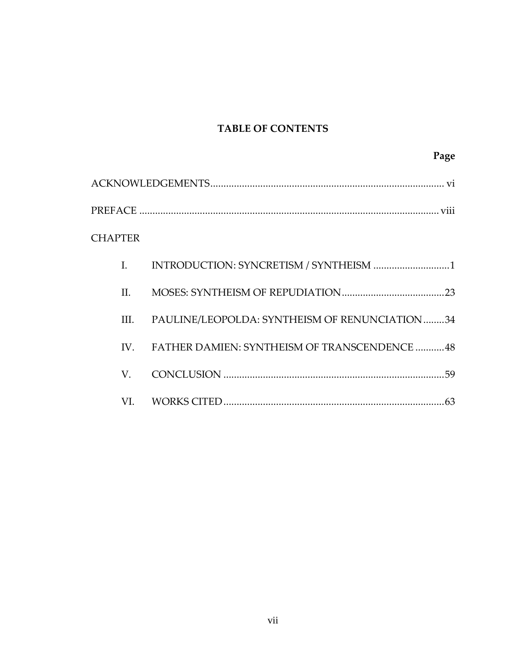## **TABLE OF CONTENTS**

| <b>CHAPTER</b> |                                                  |
|----------------|--------------------------------------------------|
| L.             |                                                  |
| П.             |                                                  |
| III.           | PAULINE/LEOPOLDA: SYNTHEISM OF RENUNCIATION34    |
|                | IV. FATHER DAMIEN: SYNTHEISM OF TRANSCENDENCE 48 |
| V.             |                                                  |
| VI.            |                                                  |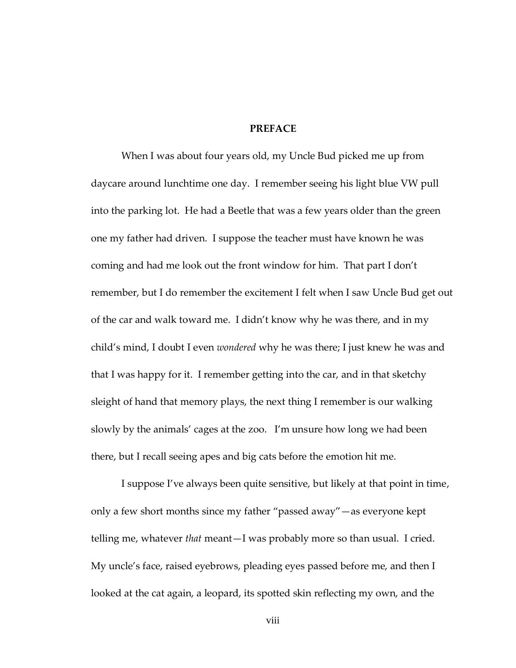#### **PREFACE**

When I was about four years old, my Uncle Bud picked me up from daycare around lunchtime one day. I remember seeing his light blue VW pull into the parking lot. He had a Beetle that was a few years older than the green one my father had driven. I suppose the teacher must have known he was coming and had me look out the front window for him. That part I don't remember, but I do remember the excitement I felt when I saw Uncle Bud get out of the car and walk toward me. I didn't know why he was there, and in my child's mind, I doubt I even *wondered* why he was there; I just knew he was and that I was happy for it. I remember getting into the car, and in that sketchy sleight of hand that memory plays, the next thing I remember is our walking slowly by the animals' cages at the zoo. I'm unsure how long we had been there, but I recall seeing apes and big cats before the emotion hit me.

I suppose I've always been quite sensitive, but likely at that point in time, only a few short months since my father 'passed away'—as everyone kept telling me, whatever *that* meant—I was probably more so than usual. I cried. My uncle's face, raised eyebrows, pleading eyes passed before me, and then I looked at the cat again, a leopard, its spotted skin reflecting my own, and the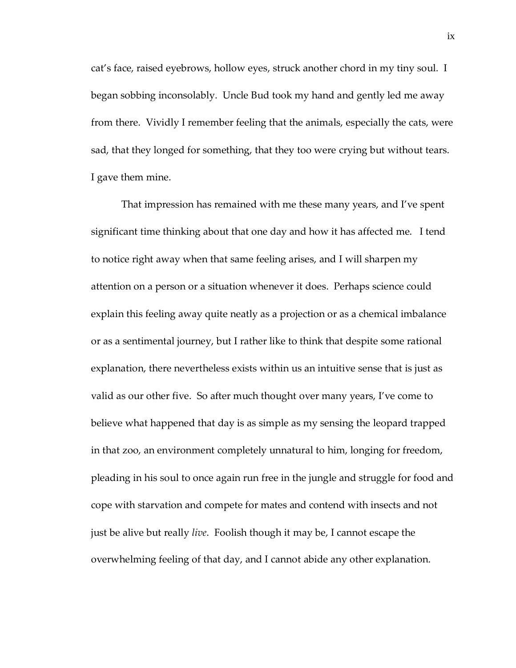cat's face, raised eyebrows, hollow eyes, struck another chord in my tiny soul. I began sobbing inconsolably. Uncle Bud took my hand and gently led me away from there. Vividly I remember feeling that the animals, especially the cats, were sad, that they longed for something, that they too were crying but without tears. I gave them mine.

That impression has remained with me these many years, and I've spent significant time thinking about that one day and how it has affected me. I tend to notice right away when that same feeling arises, and I will sharpen my attention on a person or a situation whenever it does. Perhaps science could explain this feeling away quite neatly as a projection or as a chemical imbalance or as a sentimental journey, but I rather like to think that despite some rational explanation, there nevertheless exists within us an intuitive sense that is just as valid as our other five. So after much thought over many years, I've come to believe what happened that day is as simple as my sensing the leopard trapped in that zoo, an environment completely unnatural to him, longing for freedom, pleading in his soul to once again run free in the jungle and struggle for food and cope with starvation and compete for mates and contend with insects and not just be alive but really *live*. Foolish though it may be, I cannot escape the overwhelming feeling of that day, and I cannot abide any other explanation.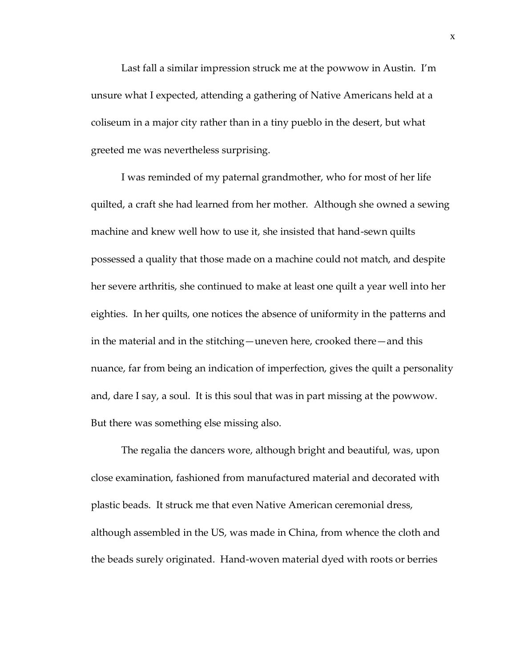Last fall a similar impression struck me at the powwow in Austin. I'm unsure what I expected, attending a gathering of Native Americans held at a coliseum in a major city rather than in a tiny pueblo in the desert, but what greeted me was nevertheless surprising.

I was reminded of my paternal grandmother, who for most of her life quilted, a craft she had learned from her mother. Although she owned a sewing machine and knew well how to use it, she insisted that hand-sewn quilts possessed a quality that those made on a machine could not match, and despite her severe arthritis, she continued to make at least one quilt a year well into her eighties. In her quilts, one notices the absence of uniformity in the patterns and in the material and in the stitching—uneven here, crooked there—and this nuance, far from being an indication of imperfection, gives the quilt a personality and, dare I say, a soul. It is this soul that was in part missing at the powwow. But there was something else missing also.

The regalia the dancers wore, although bright and beautiful, was, upon close examination, fashioned from manufactured material and decorated with plastic beads. It struck me that even Native American ceremonial dress, although assembled in the US, was made in China, from whence the cloth and the beads surely originated. Hand-woven material dyed with roots or berries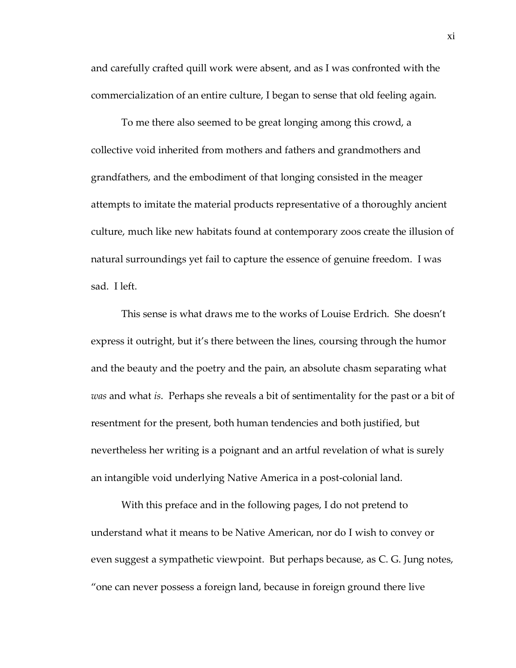and carefully crafted quill work were absent, and as I was confronted with the commercialization of an entire culture, I began to sense that old feeling again.

To me there also seemed to be great longing among this crowd, a collective void inherited from mothers and fathers and grandmothers and grandfathers, and the embodiment of that longing consisted in the meager attempts to imitate the material products representative of a thoroughly ancient culture, much like new habitats found at contemporary zoos create the illusion of natural surroundings yet fail to capture the essence of genuine freedom. I was sad. I left.

This sense is what draws me to the works of Louise Erdrich. She doesn't express it outright, but it's there between the lines, coursing through the humor and the beauty and the poetry and the pain, an absolute chasm separating what *was* and what *is*. Perhaps she reveals a bit of sentimentality for the past or a bit of resentment for the present, both human tendencies and both justified, but nevertheless her writing is a poignant and an artful revelation of what is surely an intangible void underlying Native America in a post-colonial land.

With this preface and in the following pages, I do not pretend to understand what it means to be Native American, nor do I wish to convey or even suggest a sympathetic viewpoint. But perhaps because, as C. G. Jung notes, 'one can never possess a foreign land, because in foreign ground there live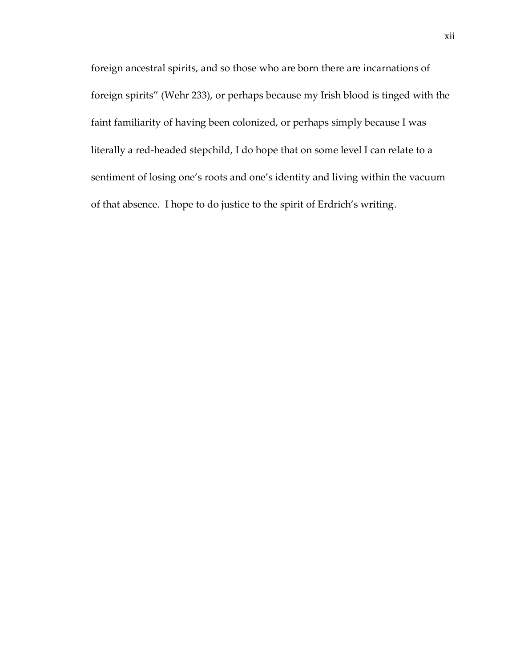foreign ancestral spirits, and so those who are born there are incarnations of foreign spirits' (Wehr 233), or perhaps because my Irish blood is tinged with the faint familiarity of having been colonized, or perhaps simply because I was literally a red-headed stepchild, I do hope that on some level I can relate to a sentiment of losing one's roots and one's identity and living within the vacuum of that absence. I hope to do justice to the spirit of Erdrich's writing.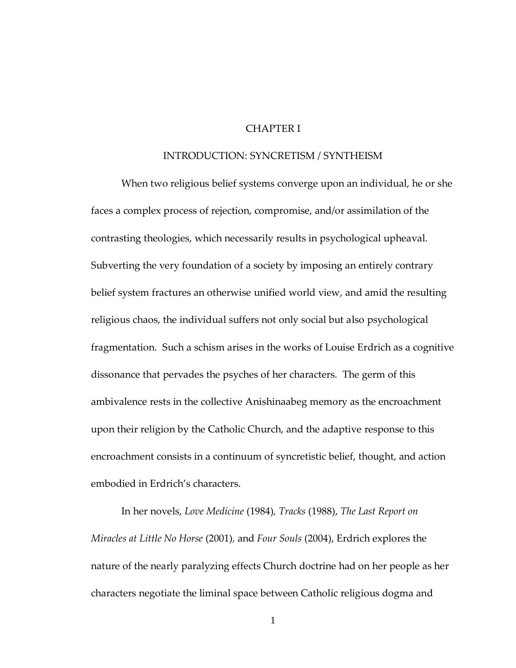### CHAPTER I

#### INTRODUCTION: SYNCRETISM / SYNTHEISM

When two religious belief systems converge upon an individual, he or she faces a complex process of rejection, compromise, and/or assimilation of the contrasting theologies, which necessarily results in psychological upheaval. Subverting the very foundation of a society by imposing an entirely contrary belief system fractures an otherwise unified world view, and amid the resulting religious chaos, the individual suffers not only social but also psychological fragmentation. Such a schism arises in the works of Louise Erdrich as a cognitive dissonance that pervades the psyches of her characters. The germ of this ambivalence rests in the collective Anishinaabeg memory as the encroachment upon their religion by the Catholic Church, and the adaptive response to this encroachment consists in a continuum of syncretistic belief, thought, and action embodied in Erdrich's characters.

In her novels, *Love Medicine* (1984)*, Tracks* (1988), *The Last Report on Miracles at Little No Horse* (2001)*,* and *Four Souls* (2004), Erdrich explores the nature of the nearly paralyzing effects Church doctrine had on her people as her characters negotiate the liminal space between Catholic religious dogma and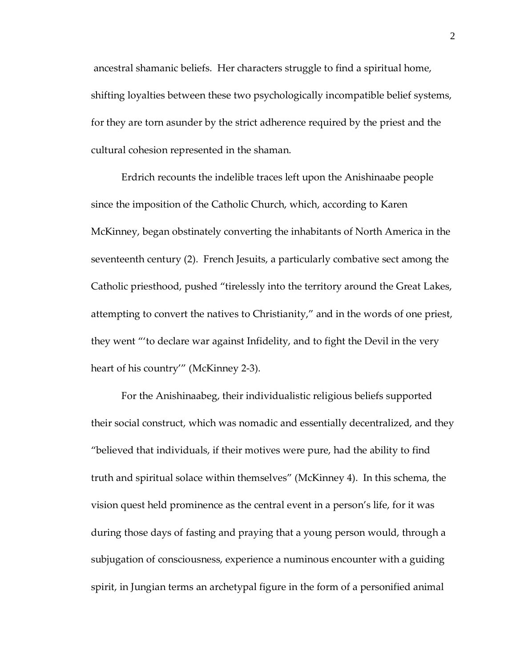ancestral shamanic beliefs. Her characters struggle to find a spiritual home, shifting loyalties between these two psychologically incompatible belief systems, for they are torn asunder by the strict adherence required by the priest and the cultural cohesion represented in the shaman.

Erdrich recounts the indelible traces left upon the Anishinaabe people since the imposition of the Catholic Church, which, according to Karen McKinney, began obstinately converting the inhabitants of North America in the seventeenth century (2). French Jesuits, a particularly combative sect among the Catholic priesthood, pushed 'tirelessly into the territory around the Great Lakes, attempting to convert the natives to Christianity,' and in the words of one priest, they went ''to declare war against Infidelity, and to fight the Devil in the very heart of his country'' (McKinney 2-3).

For the Anishinaabeg, their individualistic religious beliefs supported their social construct, which was nomadic and essentially decentralized, and they 'believed that individuals, if their motives were pure, had the ability to find truth and spiritual solace within themselves' (McKinney 4). In this schema, the vision quest held prominence as the central event in a person's life, for it was during those days of fasting and praying that a young person would, through a subjugation of consciousness, experience a numinous encounter with a guiding spirit, in Jungian terms an archetypal figure in the form of a personified animal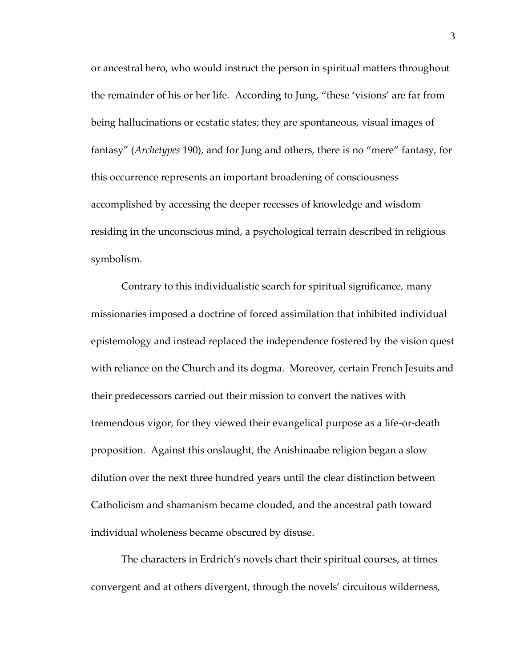or ancestral hero, who would instruct the person in spiritual matters throughout the remainder of his or her life. According to Jung, 'these 'visions' are far from being hallucinations or ecstatic states; they are spontaneous, visual images of fantasy' (*Archetypes* 190), and for Jung and others, there is no 'mere' fantasy, for this occurrence represents an important broadening of consciousness accomplished by accessing the deeper recesses of knowledge and wisdom residing in the unconscious mind, a psychological terrain described in religious symbolism.

Contrary to this individualistic search for spiritual significance, many missionaries imposed a doctrine of forced assimilation that inhibited individual epistemology and instead replaced the independence fostered by the vision quest with reliance on the Church and its dogma. Moreover, certain French Jesuits and their predecessors carried out their mission to convert the natives with tremendous vigor, for they viewed their evangelical purpose as a life-or-death proposition. Against this onslaught, the Anishinaabe religion began a slow dilution over the next three hundred years until the clear distinction between Catholicism and shamanism became clouded, and the ancestral path toward individual wholeness became obscured by disuse.

The characters in Erdrich's novels chart their spiritual courses, at times convergent and at others divergent, through the novels' circuitous wilderness,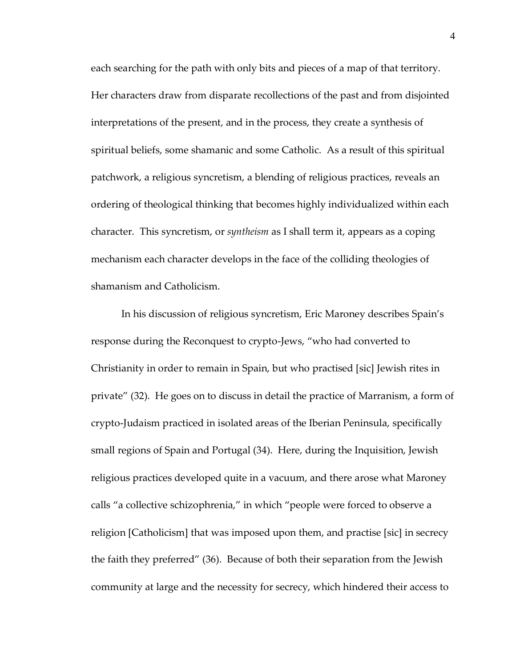each searching for the path with only bits and pieces of a map of that territory. Her characters draw from disparate recollections of the past and from disjointed interpretations of the present, and in the process, they create a synthesis of spiritual beliefs, some shamanic and some Catholic. As a result of this spiritual patchwork, a religious syncretism, a blending of religious practices, reveals an ordering of theological thinking that becomes highly individualized within each character. This syncretism, or *syntheism* as I shall term it, appears as a coping mechanism each character develops in the face of the colliding theologies of shamanism and Catholicism.

In his discussion of religious syncretism, Eric Maroney describes Spain's response during the Reconquest to crypto-Jews, "who had converted to Christianity in order to remain in Spain, but who practised [sic] Jewish rites in private' (32). He goes on to discuss in detail the practice of Marranism, a form of crypto-Judaism practiced in isolated areas of the Iberian Peninsula, specifically small regions of Spain and Portugal (34). Here, during the Inquisition, Jewish religious practices developed quite in a vacuum, and there arose what Maroney calls 'a collective schizophrenia,' in which 'people were forced to observe a religion [Catholicism] that was imposed upon them, and practise [sic] in secrecy the faith they preferred' (36). Because of both their separation from the Jewish community at large and the necessity for secrecy, which hindered their access to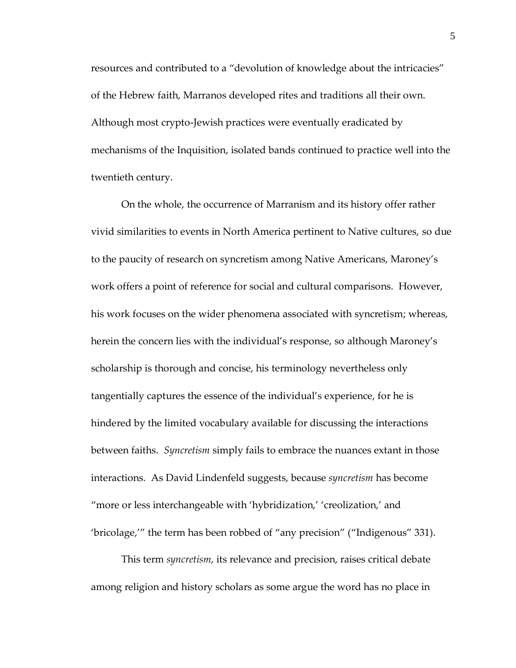resources and contributed to a 'devolution of knowledge about the intricacies' of the Hebrew faith, Marranos developed rites and traditions all their own. Although most crypto-Jewish practices were eventually eradicated by mechanisms of the Inquisition, isolated bands continued to practice well into the twentieth century.

On the whole, the occurrence of Marranism and its history offer rather vivid similarities to events in North America pertinent to Native cultures, so due to the paucity of research on syncretism among Native Americans, Maroney's work offers a point of reference for social and cultural comparisons. However, his work focuses on the wider phenomena associated with syncretism; whereas, herein the concern lies with the individual's response, so although Maroney's scholarship is thorough and concise, his terminology nevertheless only tangentially captures the essence of the individual's experience, for he is hindered by the limited vocabulary available for discussing the interactions between faiths. *Syncretism* simply fails to embrace the nuances extant in those interactions. As David Lindenfeld suggests, because *syncretism* has become 'more or less interchangeable with 'hybridization,' 'creolization,' and 'bricolage,'' the term has been robbed of 'any precision' ('Indigenous' 331).

This term *syncretism*, its relevance and precision, raises critical debate among religion and history scholars as some argue the word has no place in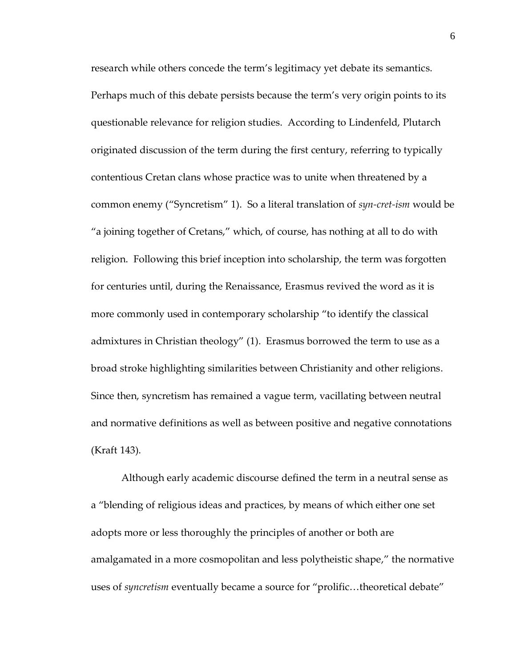research while others concede the term's legitimacy yet debate its semantics. Perhaps much of this debate persists because the term's very origin points to its questionable relevance for religion studies. According to Lindenfeld, Plutarch originated discussion of the term during the first century, referring to typically contentious Cretan clans whose practice was to unite when threatened by a common enemy ('Syncretism' 1). So a literal translation of *syn-cret-ism* would be 'a joining together of Cretans,' which, of course, has nothing at all to do with religion. Following this brief inception into scholarship, the term was forgotten for centuries until, during the Renaissance, Erasmus revived the word as it is more commonly used in contemporary scholarship 'to identify the classical admixtures in Christian theology' (1). Erasmus borrowed the term to use as a broad stroke highlighting similarities between Christianity and other religions. Since then, syncretism has remained a vague term, vacillating between neutral and normative definitions as well as between positive and negative connotations (Kraft 143).

Although early academic discourse defined the term in a neutral sense as a 'blending of religious ideas and practices, by means of which either one set adopts more or less thoroughly the principles of another or both are amalgamated in a more cosmopolitan and less polytheistic shape," the normative uses of *syncretism* eventually became a source for "prolific...theoretical debate"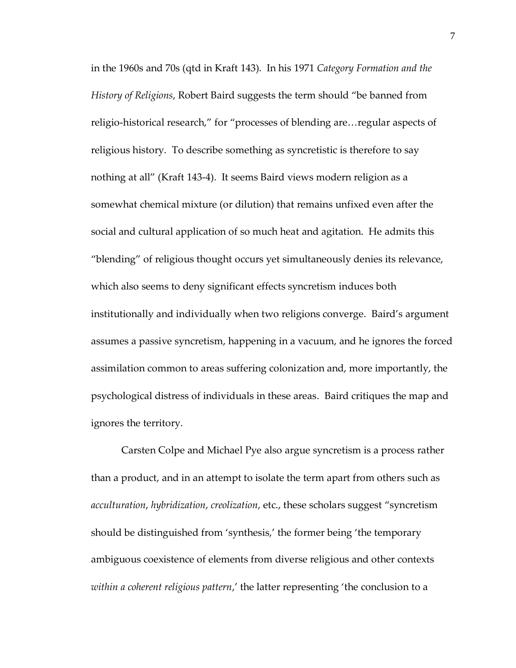in the 1960s and 70s (qtd in Kraft 143). In his 1971 *Category Formation and the History of Religions*, Robert Baird suggests the term should 'be banned from religio-historical research," for "processes of blending are... regular aspects of religious history. To describe something as syncretistic is therefore to say nothing at all' (Kraft 143-4). It seems Baird views modern religion as a somewhat chemical mixture (or dilution) that remains unfixed even after the social and cultural application of so much heat and agitation. He admits this 'blending' of religious thought occurs yet simultaneously denies its relevance, which also seems to deny significant effects syncretism induces both institutionally and individually when two religions converge. Baird's argument assumes a passive syncretism, happening in a vacuum, and he ignores the forced assimilation common to areas suffering colonization and, more importantly, the psychological distress of individuals in these areas. Baird critiques the map and ignores the territory.

Carsten Colpe and Michael Pye also argue syncretism is a process rather than a product, and in an attempt to isolate the term apart from others such as *acculturation*, *hybridization*, *creolization*, etc., these scholars suggest 'syncretism should be distinguished from 'synthesis,' the former being 'the temporary ambiguous coexistence of elements from diverse religious and other contexts *within a coherent religious pattern*,' the latter representing 'the conclusion to a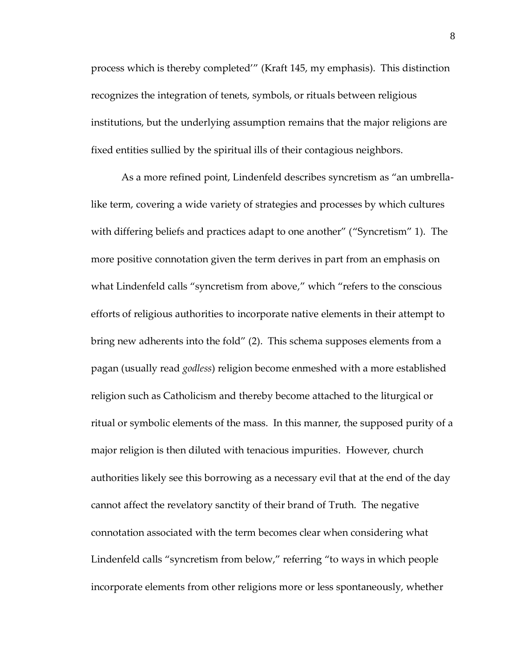process which is thereby completed'' (Kraft 145, my emphasis). This distinction recognizes the integration of tenets, symbols, or rituals between religious institutions, but the underlying assumption remains that the major religions are fixed entities sullied by the spiritual ills of their contagious neighbors.

As a more refined point, Lindenfeld describes syncretism as "an umbrellalike term, covering a wide variety of strategies and processes by which cultures with differing beliefs and practices adapt to one another" ("Syncretism" 1). The more positive connotation given the term derives in part from an emphasis on what Lindenfeld calls "syncretism from above," which "refers to the conscious efforts of religious authorities to incorporate native elements in their attempt to bring new adherents into the fold' (2). This schema supposes elements from a pagan (usually read *godless*) religion become enmeshed with a more established religion such as Catholicism and thereby become attached to the liturgical or ritual or symbolic elements of the mass. In this manner, the supposed purity of a major religion is then diluted with tenacious impurities. However, church authorities likely see this borrowing as a necessary evil that at the end of the day cannot affect the revelatory sanctity of their brand of Truth. The negative connotation associated with the term becomes clear when considering what Lindenfeld calls "syncretism from below," referring "to ways in which people incorporate elements from other religions more or less spontaneously, whether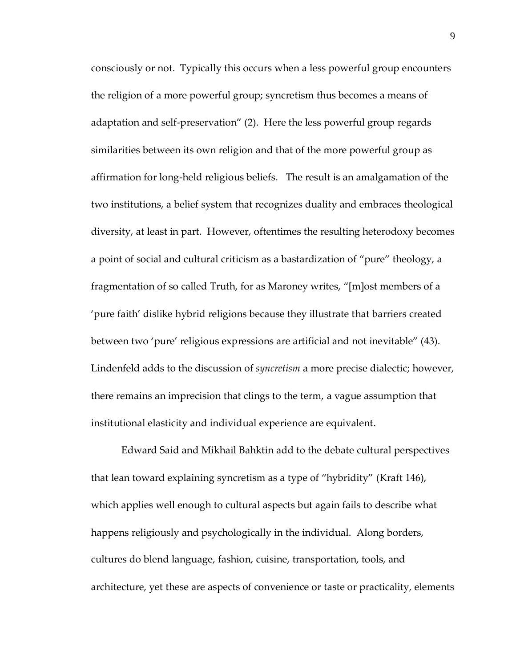consciously or not. Typically this occurs when a less powerful group encounters the religion of a more powerful group; syncretism thus becomes a means of adaptation and self-preservation' (2). Here the less powerful group regards similarities between its own religion and that of the more powerful group as affirmation for long-held religious beliefs. The result is an amalgamation of the two institutions, a belief system that recognizes duality and embraces theological diversity, at least in part. However, oftentimes the resulting heterodoxy becomes a point of social and cultural criticism as a bastardization of 'pure' theology, a fragmentation of so called Truth, for as Maroney writes, "[m]ost members of a 'pure faith' dislike hybrid religions because they illustrate that barriers created between two 'pure' religious expressions are artificial and not inevitable' (43). Lindenfeld adds to the discussion of *syncretism* a more precise dialectic; however, there remains an imprecision that clings to the term, a vague assumption that institutional elasticity and individual experience are equivalent.

Edward Said and Mikhail Bahktin add to the debate cultural perspectives that lean toward explaining syncretism as a type of 'hybridity' (Kraft 146), which applies well enough to cultural aspects but again fails to describe what happens religiously and psychologically in the individual. Along borders, cultures do blend language, fashion, cuisine, transportation, tools, and architecture, yet these are aspects of convenience or taste or practicality, elements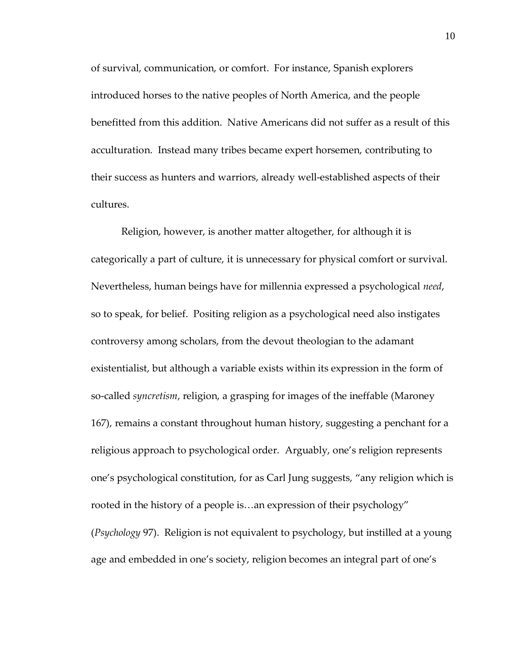of survival, communication, or comfort. For instance, Spanish explorers introduced horses to the native peoples of North America, and the people benefitted from this addition. Native Americans did not suffer as a result of this acculturation. Instead many tribes became expert horsemen, contributing to their success as hunters and warriors, already well-established aspects of their cultures.

Religion, however, is another matter altogether, for although it is categorically a part of culture, it is unnecessary for physical comfort or survival. Nevertheless, human beings have for millennia expressed a psychological *need*, so to speak, for belief. Positing religion as a psychological need also instigates controversy among scholars, from the devout theologian to the adamant existentialist, but although a variable exists within its expression in the form of so-called *syncretism*, religion, a grasping for images of the ineffable (Maroney 167), remains a constant throughout human history, suggesting a penchant for a religious approach to psychological order. Arguably, one's religion represents one's psychological constitution, for as Carl Jung suggests, 'any religion which is rooted in the history of a people is...an expression of their psychology" (*Psychology* 97). Religion is not equivalent to psychology, but instilled at a young age and embedded in one's society, religion becomes an integral part of one's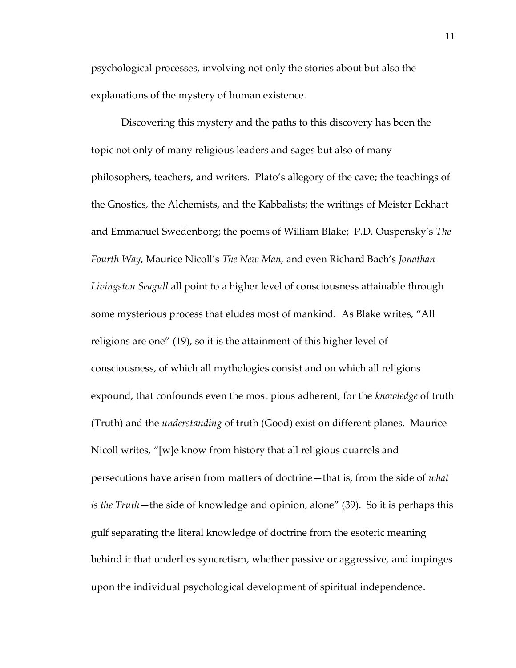psychological processes, involving not only the stories about but also the explanations of the mystery of human existence.

Discovering this mystery and the paths to this discovery has been the topic not only of many religious leaders and sages but also of many philosophers, teachers, and writers. Plato's allegory of the cave; the teachings of the Gnostics, the Alchemists, and the Kabbalists; the writings of Meister Eckhart and Emmanuel Swedenborg; the poems of William Blake; P.D. Ouspensky's *The Fourth Way*, Maurice Nicoll's *The New Man,* and even Richard Bach's *Jonathan Livingston Seagull* all point to a higher level of consciousness attainable through some mysterious process that eludes most of mankind. As Blake writes, 'All religions are one' (19), so it is the attainment of this higher level of consciousness, of which all mythologies consist and on which all religions expound, that confounds even the most pious adherent, for the *knowledge* of truth (Truth) and the *understanding* of truth (Good) exist on different planes. Maurice Nicoll writes, '[w]e know from history that all religious quarrels and persecutions have arisen from matters of doctrine—that is, from the side of *what is the Truth*—the side of knowledge and opinion, alone' (39). So it is perhaps this gulf separating the literal knowledge of doctrine from the esoteric meaning behind it that underlies syncretism, whether passive or aggressive, and impinges upon the individual psychological development of spiritual independence.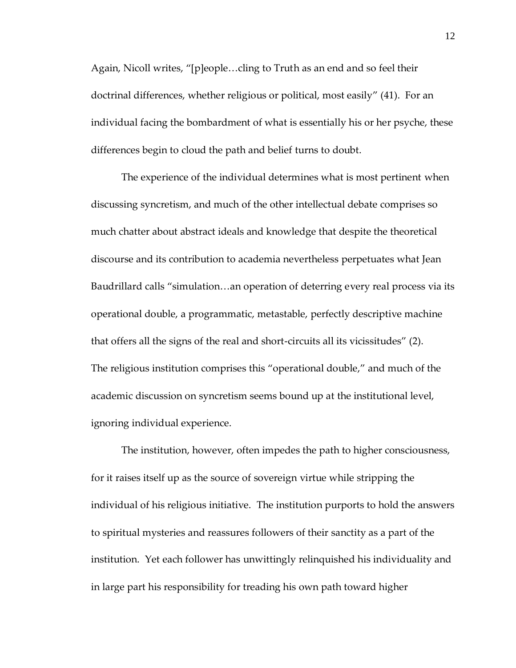Again, Nicoll writes, "[p]eople...cling to Truth as an end and so feel their doctrinal differences, whether religious or political, most easily' (41). For an individual facing the bombardment of what is essentially his or her psyche, these differences begin to cloud the path and belief turns to doubt.

The experience of the individual determines what is most pertinent when discussing syncretism, and much of the other intellectual debate comprises so much chatter about abstract ideals and knowledge that despite the theoretical discourse and its contribution to academia nevertheless perpetuates what Jean Baudrillard calls "simulation...an operation of deterring every real process via its operational double, a programmatic, metastable, perfectly descriptive machine that offers all the signs of the real and short-circuits all its vicissitudes' (2). The religious institution comprises this 'operational double,' and much of the academic discussion on syncretism seems bound up at the institutional level, ignoring individual experience.

The institution, however, often impedes the path to higher consciousness, for it raises itself up as the source of sovereign virtue while stripping the individual of his religious initiative. The institution purports to hold the answers to spiritual mysteries and reassures followers of their sanctity as a part of the institution. Yet each follower has unwittingly relinquished his individuality and in large part his responsibility for treading his own path toward higher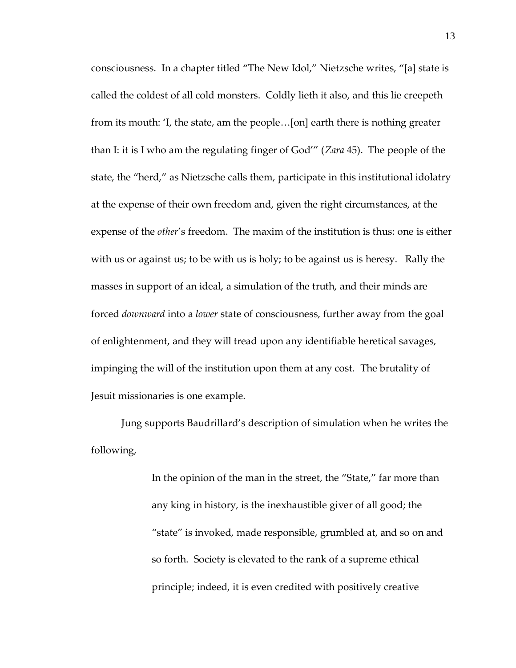consciousness. In a chapter titled "The New Idol," Nietzsche writes, "[a] state is called the coldest of all cold monsters. Coldly lieth it also, and this lie creepeth from its mouth: 'I, the state, am the people...[on] earth there is nothing greater than I: it is I who am the regulating finger of God'' (*Zara* 45). The people of the state, the 'herd,' as Nietzsche calls them, participate in this institutional idolatry at the expense of their own freedom and, given the right circumstances, at the expense of the *other*'s freedom. The maxim of the institution is thus: one is either with us or against us; to be with us is holy; to be against us is heresy. Rally the masses in support of an ideal, a simulation of the truth, and their minds are forced *downward* into a *lower* state of consciousness, further away from the goal of enlightenment, and they will tread upon any identifiable heretical savages, impinging the will of the institution upon them at any cost. The brutality of Jesuit missionaries is one example.

Jung supports Baudrillard's description of simulation when he writes the following,

> In the opinion of the man in the street, the "State," far more than any king in history, is the inexhaustible giver of all good; the 'state' is invoked, made responsible, grumbled at, and so on and so forth. Society is elevated to the rank of a supreme ethical principle; indeed, it is even credited with positively creative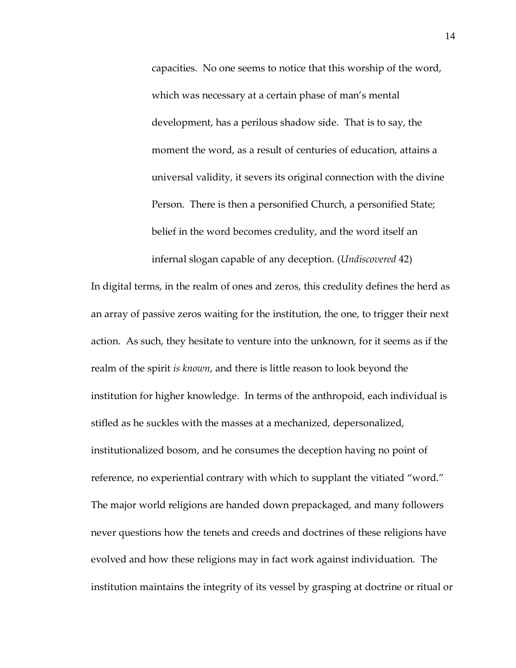capacities. No one seems to notice that this worship of the word, which was necessary at a certain phase of man's mental development, has a perilous shadow side. That is to say, the moment the word, as a result of centuries of education, attains a universal validity, it severs its original connection with the divine Person. There is then a personified Church, a personified State; belief in the word becomes credulity, and the word itself an infernal slogan capable of any deception. (*Undiscovered* 42)

In digital terms, in the realm of ones and zeros, this credulity defines the herd as an array of passive zeros waiting for the institution, the one, to trigger their next action. As such, they hesitate to venture into the unknown, for it seems as if the realm of the spirit *is known*, and there is little reason to look beyond the institution for higher knowledge. In terms of the anthropoid, each individual is stifled as he suckles with the masses at a mechanized, depersonalized, institutionalized bosom, and he consumes the deception having no point of reference, no experiential contrary with which to supplant the vitiated "word." The major world religions are handed down prepackaged, and many followers never questions how the tenets and creeds and doctrines of these religions have evolved and how these religions may in fact work against individuation. The institution maintains the integrity of its vessel by grasping at doctrine or ritual or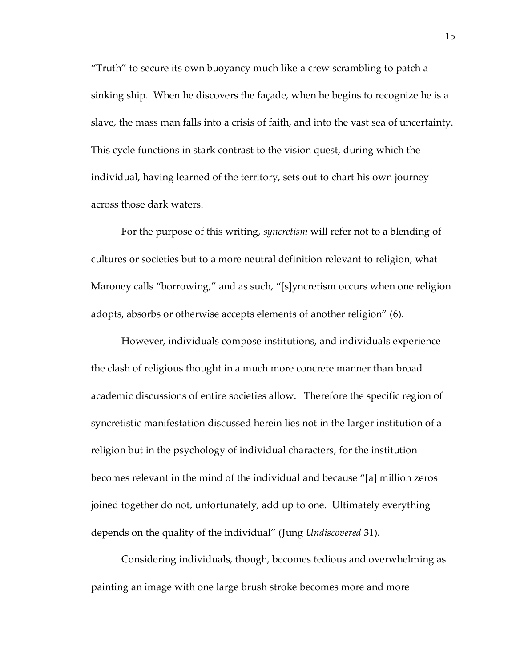'Truth' to secure its own buoyancy much like a crew scrambling to patch a sinking ship. When he discovers the façade, when he begins to recognize he is a slave, the mass man falls into a crisis of faith, and into the vast sea of uncertainty. This cycle functions in stark contrast to the vision quest, during which the individual, having learned of the territory, sets out to chart his own journey across those dark waters.

For the purpose of this writing, *syncretism* will refer not to a blending of cultures or societies but to a more neutral definition relevant to religion, what Maroney calls "borrowing," and as such, "[s]yncretism occurs when one religion adopts, absorbs or otherwise accepts elements of another religion' (6).

However, individuals compose institutions, and individuals experience the clash of religious thought in a much more concrete manner than broad academic discussions of entire societies allow. Therefore the specific region of syncretistic manifestation discussed herein lies not in the larger institution of a religion but in the psychology of individual characters, for the institution becomes relevant in the mind of the individual and because "[a] million zeros joined together do not, unfortunately, add up to one. Ultimately everything depends on the quality of the individual' (Jung *Undiscovered* 31).

Considering individuals, though, becomes tedious and overwhelming as painting an image with one large brush stroke becomes more and more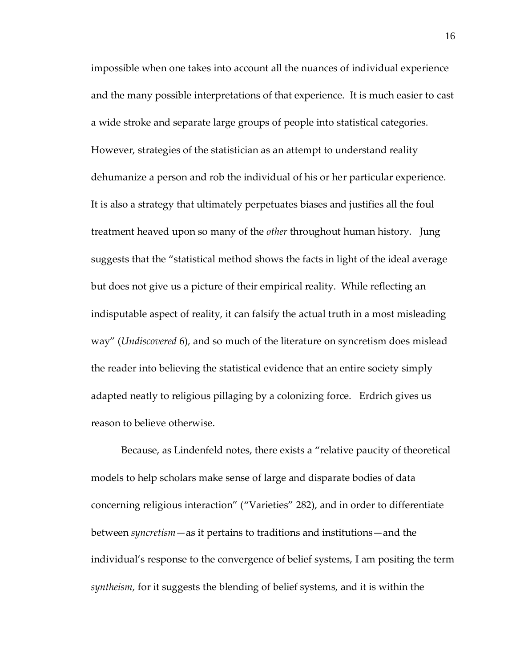impossible when one takes into account all the nuances of individual experience and the many possible interpretations of that experience. It is much easier to cast a wide stroke and separate large groups of people into statistical categories. However, strategies of the statistician as an attempt to understand reality dehumanize a person and rob the individual of his or her particular experience. It is also a strategy that ultimately perpetuates biases and justifies all the foul treatment heaved upon so many of the *other* throughout human history. Jung suggests that the 'statistical method shows the facts in light of the ideal average but does not give us a picture of their empirical reality. While reflecting an indisputable aspect of reality, it can falsify the actual truth in a most misleading way' (*Undiscovered* 6), and so much of the literature on syncretism does mislead the reader into believing the statistical evidence that an entire society simply adapted neatly to religious pillaging by a colonizing force. Erdrich gives us reason to believe otherwise.

Because, as Lindenfeld notes, there exists a 'relative paucity of theoretical models to help scholars make sense of large and disparate bodies of data concerning religious interaction' ('Varieties' 282), and in order to differentiate between *syncretism—*as it pertains to traditions and institutions—and the individual's response to the convergence of belief systems, I am positing the term *syntheism*, for it suggests the blending of belief systems, and it is within the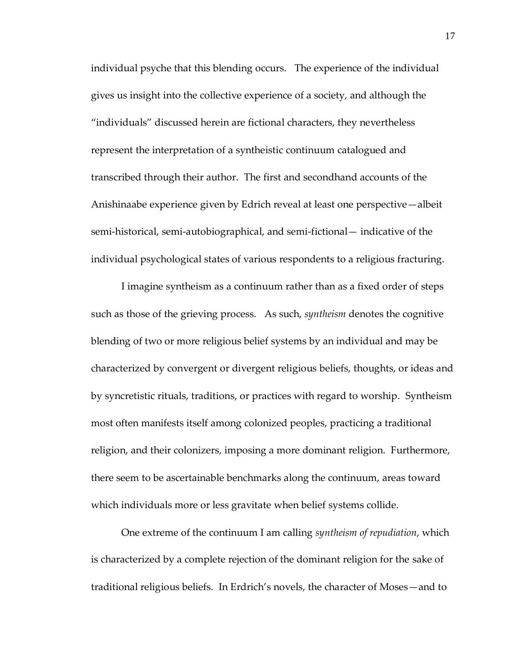individual psyche that this blending occurs. The experience of the individual gives us insight into the collective experience of a society, and although the 'individuals' discussed herein are fictional characters, they nevertheless represent the interpretation of a syntheistic continuum catalogued and transcribed through their author. The first and secondhand accounts of the Anishinaabe experience given by Edrich reveal at least one perspective—albeit semi-historical, semi-autobiographical, and semi-fictional— indicative of the individual psychological states of various respondents to a religious fracturing.

I imagine syntheism as a continuum rather than as a fixed order of steps such as those of the grieving process. As such, *syntheism* denotes the cognitive blending of two or more religious belief systems by an individual and may be characterized by convergent or divergent religious beliefs, thoughts, or ideas and by syncretistic rituals, traditions, or practices with regard to worship. Syntheism most often manifests itself among colonized peoples, practicing a traditional religion, and their colonizers, imposing a more dominant religion. Furthermore, there seem to be ascertainable benchmarks along the continuum, areas toward which individuals more or less gravitate when belief systems collide.

One extreme of the continuum I am calling *syntheism of repudiation*, which is characterized by a complete rejection of the dominant religion for the sake of traditional religious beliefs. In Erdrich's novels, the character of Moses—and to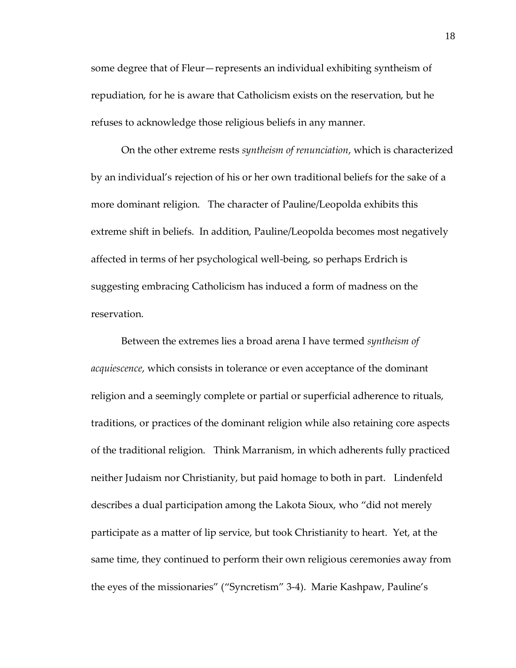some degree that of Fleur—represents an individual exhibiting syntheism of repudiation, for he is aware that Catholicism exists on the reservation, but he refuses to acknowledge those religious beliefs in any manner.

On the other extreme rests *syntheism of renunciation*, which is characterized by an individual's rejection of his or her own traditional beliefs for the sake of a more dominant religion. The character of Pauline/Leopolda exhibits this extreme shift in beliefs. In addition, Pauline/Leopolda becomes most negatively affected in terms of her psychological well-being, so perhaps Erdrich is suggesting embracing Catholicism has induced a form of madness on the reservation.

Between the extremes lies a broad arena I have termed *syntheism of acquiescence*, which consists in tolerance or even acceptance of the dominant religion and a seemingly complete or partial or superficial adherence to rituals, traditions, or practices of the dominant religion while also retaining core aspects of the traditional religion. Think Marranism, in which adherents fully practiced neither Judaism nor Christianity, but paid homage to both in part. Lindenfeld describes a dual participation among the Lakota Sioux, who 'did not merely participate as a matter of lip service, but took Christianity to heart. Yet, at the same time, they continued to perform their own religious ceremonies away from the eyes of the missionaries' ('Syncretism' 3-4). Marie Kashpaw, Pauline's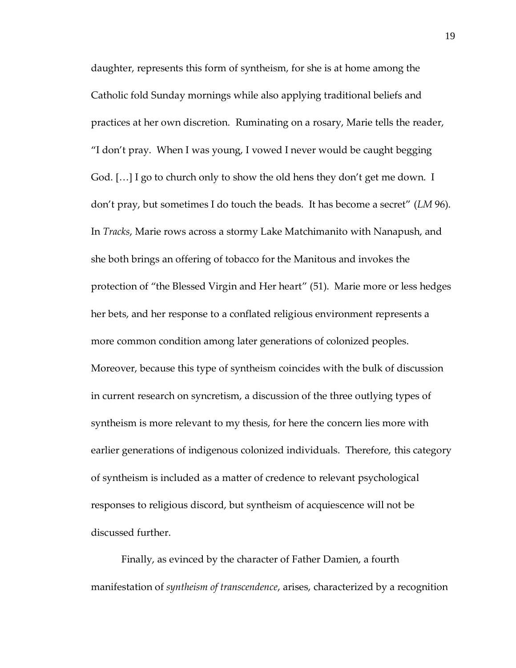daughter, represents this form of syntheism, for she is at home among the Catholic fold Sunday mornings while also applying traditional beliefs and practices at her own discretion. Ruminating on a rosary, Marie tells the reader, 'I don't pray. When I was young, I vowed I never would be caught begging God.  $[\ldots]$  I go to church only to show the old hens they don't get me down. I don't pray, but sometimes I do touch the beads. It has become a secret' (*LM* 96). In *Tracks*, Marie rows across a stormy Lake Matchimanito with Nanapush, and she both brings an offering of tobacco for the Manitous and invokes the protection of 'the Blessed Virgin and Her heart' (51). Marie more or less hedges her bets, and her response to a conflated religious environment represents a more common condition among later generations of colonized peoples. Moreover, because this type of syntheism coincides with the bulk of discussion in current research on syncretism, a discussion of the three outlying types of syntheism is more relevant to my thesis, for here the concern lies more with earlier generations of indigenous colonized individuals. Therefore, this category of syntheism is included as a matter of credence to relevant psychological responses to religious discord, but syntheism of acquiescence will not be discussed further.

Finally, as evinced by the character of Father Damien, a fourth manifestation of *syntheism of transcendence*, arises, characterized by a recognition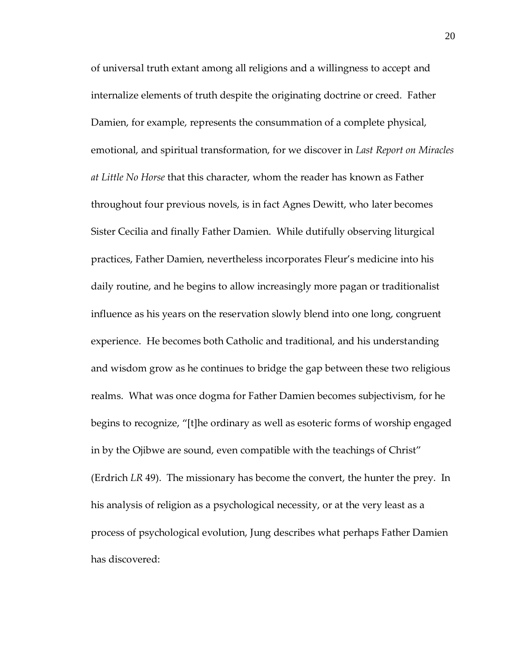of universal truth extant among all religions and a willingness to accept and internalize elements of truth despite the originating doctrine or creed. Father Damien, for example, represents the consummation of a complete physical, emotional, and spiritual transformation, for we discover in *Last Report on Miracles at Little No Horse* that this character, whom the reader has known as Father throughout four previous novels, is in fact Agnes Dewitt, who later becomes Sister Cecilia and finally Father Damien. While dutifully observing liturgical practices, Father Damien, nevertheless incorporates Fleur's medicine into his daily routine, and he begins to allow increasingly more pagan or traditionalist influence as his years on the reservation slowly blend into one long, congruent experience. He becomes both Catholic and traditional, and his understanding and wisdom grow as he continues to bridge the gap between these two religious realms. What was once dogma for Father Damien becomes subjectivism, for he begins to recognize, "[t]he ordinary as well as esoteric forms of worship engaged in by the Ojibwe are sound, even compatible with the teachings of Christ' (Erdrich *LR* 49). The missionary has become the convert, the hunter the prey. In his analysis of religion as a psychological necessity, or at the very least as a process of psychological evolution, Jung describes what perhaps Father Damien has discovered: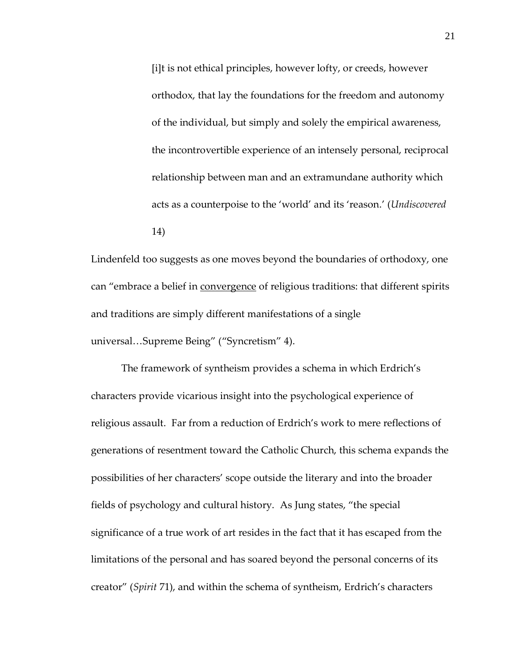[i]t is not ethical principles, however lofty, or creeds, however orthodox, that lay the foundations for the freedom and autonomy of the individual, but simply and solely the empirical awareness, the incontrovertible experience of an intensely personal, reciprocal relationship between man and an extramundane authority which acts as a counterpoise to the 'world' and its 'reason.' (*Undiscovered* 14)

Lindenfeld too suggests as one moves beyond the boundaries of orthodoxy, one can "embrace a belief in convergence of religious traditions: that different spirits and traditions are simply different manifestations of a single universal...Supreme Being" ("Syncretism" 4).

The framework of syntheism provides a schema in which Erdrich's characters provide vicarious insight into the psychological experience of religious assault. Far from a reduction of Erdrich's work to mere reflections of generations of resentment toward the Catholic Church, this schema expands the possibilities of her characters' scope outside the literary and into the broader fields of psychology and cultural history. As Jung states, 'the special significance of a true work of art resides in the fact that it has escaped from the limitations of the personal and has soared beyond the personal concerns of its creator' (*Spirit* 71), and within the schema of syntheism, Erdrich's characters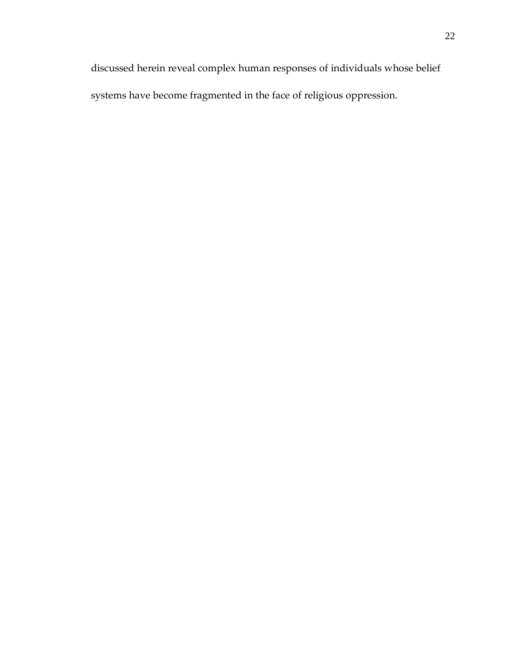discussed herein reveal complex human responses of individuals whose belief systems have become fragmented in the face of religious oppression.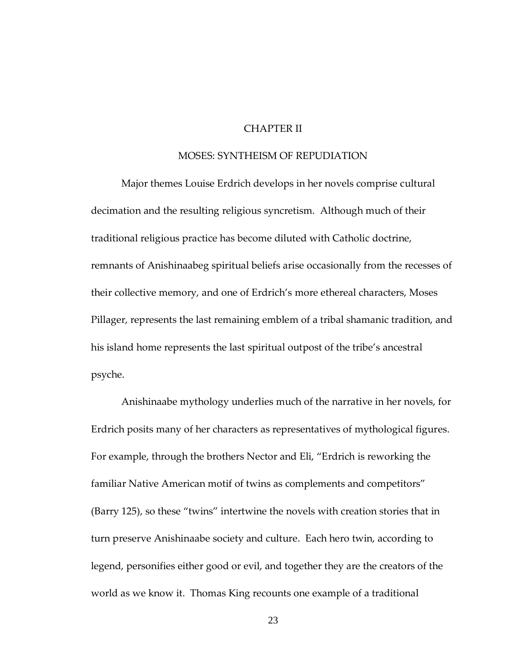#### CHAPTER II

#### MOSES: SYNTHEISM OF REPUDIATION

Major themes Louise Erdrich develops in her novels comprise cultural decimation and the resulting religious syncretism. Although much of their traditional religious practice has become diluted with Catholic doctrine, remnants of Anishinaabeg spiritual beliefs arise occasionally from the recesses of their collective memory, and one of Erdrich's more ethereal characters, Moses Pillager, represents the last remaining emblem of a tribal shamanic tradition, and his island home represents the last spiritual outpost of the tribe's ancestral psyche.

Anishinaabe mythology underlies much of the narrative in her novels, for Erdrich posits many of her characters as representatives of mythological figures. For example, through the brothers Nector and Eli, 'Erdrich is reworking the familiar Native American motif of twins as complements and competitors' (Barry 125), so these 'twins' intertwine the novels with creation stories that in turn preserve Anishinaabe society and culture. Each hero twin, according to legend, personifies either good or evil, and together they are the creators of the world as we know it. Thomas King recounts one example of a traditional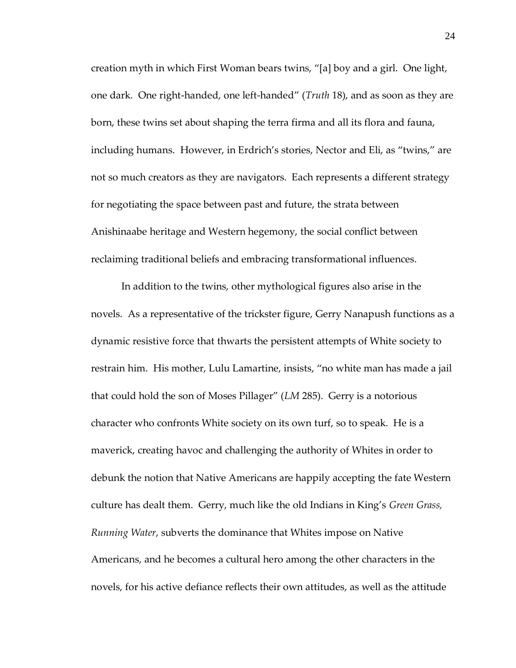creation myth in which First Woman bears twins, "[a] boy and a girl. One light, one dark. One right-handed, one left-handed' (*Truth* 18), and as soon as they are born, these twins set about shaping the terra firma and all its flora and fauna, including humans. However, in Erdrich's stories, Nector and Eli, as "twins," are not so much creators as they are navigators. Each represents a different strategy for negotiating the space between past and future, the strata between Anishinaabe heritage and Western hegemony, the social conflict between reclaiming traditional beliefs and embracing transformational influences.

In addition to the twins, other mythological figures also arise in the novels. As a representative of the trickster figure, Gerry Nanapush functions as a dynamic resistive force that thwarts the persistent attempts of White society to restrain him. His mother, Lulu Lamartine, insists, 'no white man has made a jail that could hold the son of Moses Pillager' (*LM* 285). Gerry is a notorious character who confronts White society on its own turf, so to speak. He is a maverick, creating havoc and challenging the authority of Whites in order to debunk the notion that Native Americans are happily accepting the fate Western culture has dealt them. Gerry, much like the old Indians in King's *Green Grass, Running Water*, subverts the dominance that Whites impose on Native Americans, and he becomes a cultural hero among the other characters in the novels, for his active defiance reflects their own attitudes, as well as the attitude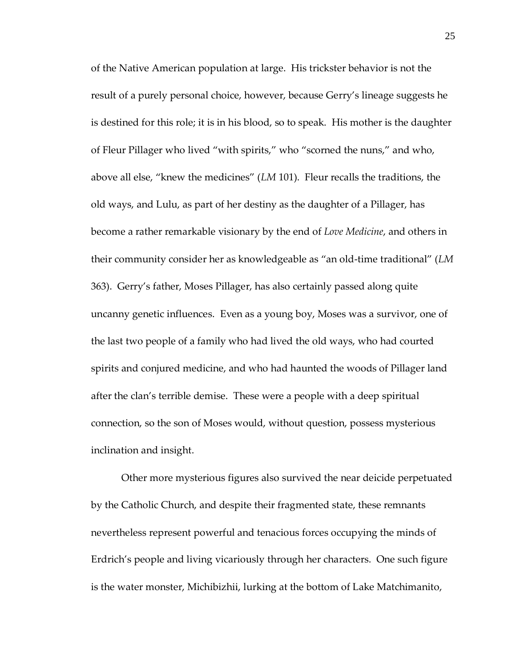of the Native American population at large. His trickster behavior is not the result of a purely personal choice, however, because Gerry's lineage suggests he is destined for this role; it is in his blood, so to speak. His mother is the daughter of Fleur Pillager who lived 'with spirits,' who 'scorned the nuns,' and who, above all else, 'knew the medicines' (*LM* 101). Fleur recalls the traditions, the old ways, and Lulu, as part of her destiny as the daughter of a Pillager, has become a rather remarkable visionary by the end of *Love Medicine*, and others in their community consider her as knowledgeable as 'an old-time traditional' (*LM* 363). Gerry's father, Moses Pillager, has also certainly passed along quite uncanny genetic influences. Even as a young boy, Moses was a survivor, one of the last two people of a family who had lived the old ways, who had courted spirits and conjured medicine, and who had haunted the woods of Pillager land after the clan's terrible demise. These were a people with a deep spiritual connection, so the son of Moses would, without question, possess mysterious inclination and insight.

Other more mysterious figures also survived the near deicide perpetuated by the Catholic Church, and despite their fragmented state, these remnants nevertheless represent powerful and tenacious forces occupying the minds of Erdrich's people and living vicariously through her characters. One such figure is the water monster, Michibizhii, lurking at the bottom of Lake Matchimanito,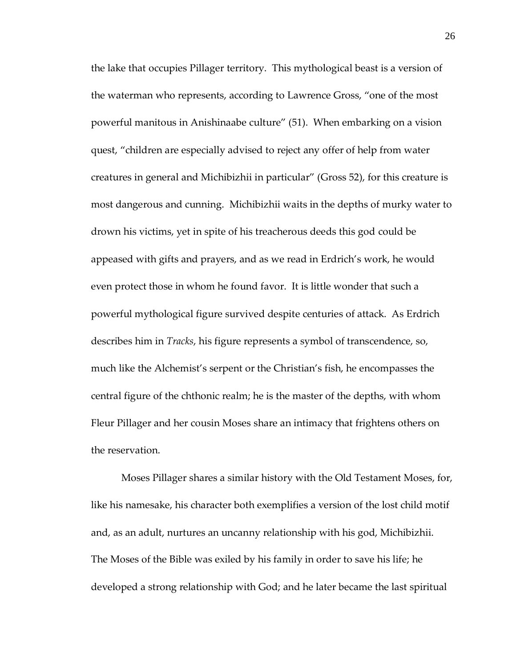the lake that occupies Pillager territory. This mythological beast is a version of the waterman who represents, according to Lawrence Gross, 'one of the most powerful manitous in Anishinaabe culture' (51). When embarking on a vision quest, 'children are especially advised to reject any offer of help from water creatures in general and Michibizhii in particular' (Gross 52), for this creature is most dangerous and cunning. Michibizhii waits in the depths of murky water to drown his victims, yet in spite of his treacherous deeds this god could be appeased with gifts and prayers, and as we read in Erdrich's work, he would even protect those in whom he found favor. It is little wonder that such a powerful mythological figure survived despite centuries of attack. As Erdrich describes him in *Tracks*, his figure represents a symbol of transcendence, so, much like the Alchemist's serpent or the Christian's fish, he encompasses the central figure of the chthonic realm; he is the master of the depths, with whom Fleur Pillager and her cousin Moses share an intimacy that frightens others on the reservation.

Moses Pillager shares a similar history with the Old Testament Moses, for, like his namesake, his character both exemplifies a version of the lost child motif and, as an adult, nurtures an uncanny relationship with his god, Michibizhii. The Moses of the Bible was exiled by his family in order to save his life; he developed a strong relationship with God; and he later became the last spiritual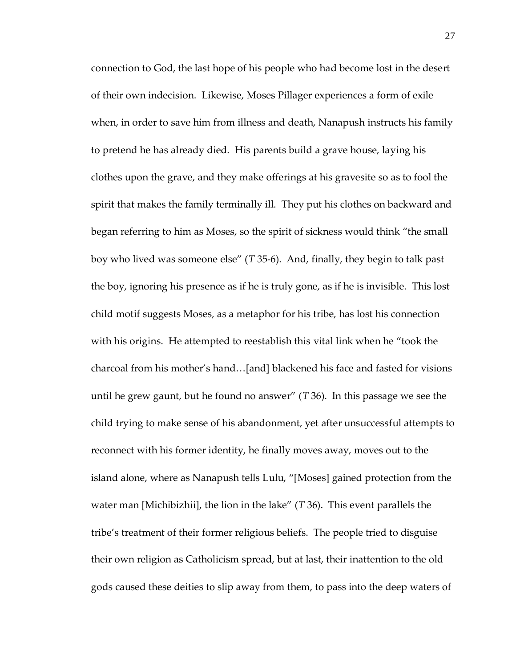connection to God, the last hope of his people who had become lost in the desert of their own indecision. Likewise, Moses Pillager experiences a form of exile when, in order to save him from illness and death, Nanapush instructs his family to pretend he has already died. His parents build a grave house, laying his clothes upon the grave, and they make offerings at his gravesite so as to fool the spirit that makes the family terminally ill. They put his clothes on backward and began referring to him as Moses, so the spirit of sickness would think 'the small boy who lived was someone else' (*T* 35-6). And, finally, they begin to talk past the boy, ignoring his presence as if he is truly gone, as if he is invisible. This lost child motif suggests Moses, as a metaphor for his tribe, has lost his connection with his origins. He attempted to reestablish this vital link when he 'took the charcoal from his mother's hand...[and] blackened his face and fasted for visions until he grew gaunt, but he found no answer' (*T* 36). In this passage we see the child trying to make sense of his abandonment, yet after unsuccessful attempts to reconnect with his former identity, he finally moves away, moves out to the island alone, where as Nanapush tells Lulu, '[Moses] gained protection from the water man [Michibizhii], the lion in the lake' (*T* 36). This event parallels the tribe's treatment of their former religious beliefs. The people tried to disguise their own religion as Catholicism spread, but at last, their inattention to the old gods caused these deities to slip away from them, to pass into the deep waters of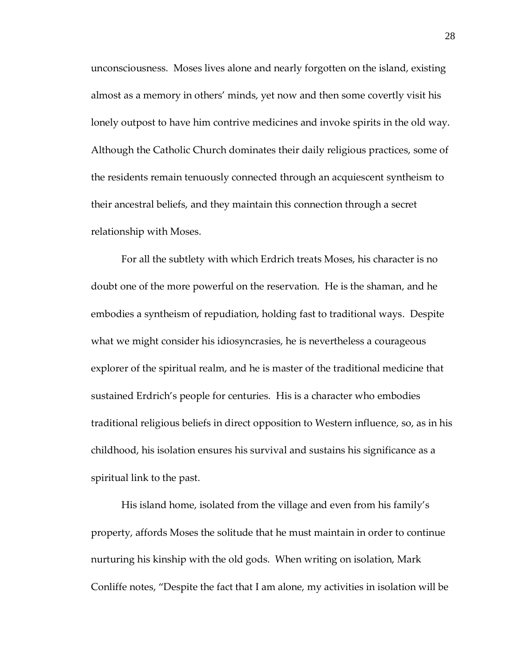unconsciousness. Moses lives alone and nearly forgotten on the island, existing almost as a memory in others' minds, yet now and then some covertly visit his lonely outpost to have him contrive medicines and invoke spirits in the old way. Although the Catholic Church dominates their daily religious practices, some of the residents remain tenuously connected through an acquiescent syntheism to their ancestral beliefs, and they maintain this connection through a secret relationship with Moses.

For all the subtlety with which Erdrich treats Moses, his character is no doubt one of the more powerful on the reservation. He is the shaman, and he embodies a syntheism of repudiation, holding fast to traditional ways. Despite what we might consider his idiosyncrasies, he is nevertheless a courageous explorer of the spiritual realm, and he is master of the traditional medicine that sustained Erdrich's people for centuries. His is a character who embodies traditional religious beliefs in direct opposition to Western influence, so, as in his childhood, his isolation ensures his survival and sustains his significance as a spiritual link to the past.

His island home, isolated from the village and even from his family's property, affords Moses the solitude that he must maintain in order to continue nurturing his kinship with the old gods. When writing on isolation, Mark Conliffe notes, 'Despite the fact that I am alone, my activities in isolation will be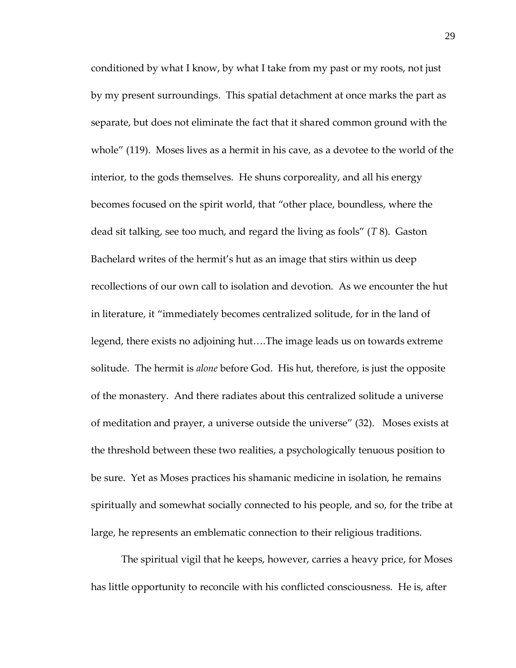conditioned by what I know, by what I take from my past or my roots, not just by my present surroundings. This spatial detachment at once marks the part as separate, but does not eliminate the fact that it shared common ground with the whole" (119). Moses lives as a hermit in his cave, as a devotee to the world of the interior, to the gods themselves. He shuns corporeality, and all his energy becomes focused on the spirit world, that 'other place, boundless, where the dead sit talking, see too much, and regard the living as fools' (*T* 8). Gaston Bachelard writes of the hermit's hut as an image that stirs within us deep recollections of our own call to isolation and devotion. As we encounter the hut in literature, it 'immediately becomes centralized solitude, for in the land of legend, there exists no adjoining hut....The image leads us on towards extreme solitude. The hermit is *alone* before God. His hut, therefore, is just the opposite of the monastery. And there radiates about this centralized solitude a universe of meditation and prayer, a universe outside the universe' (32). Moses exists at the threshold between these two realities, a psychologically tenuous position to be sure. Yet as Moses practices his shamanic medicine in isolation, he remains spiritually and somewhat socially connected to his people, and so, for the tribe at large, he represents an emblematic connection to their religious traditions.

The spiritual vigil that he keeps, however, carries a heavy price, for Moses has little opportunity to reconcile with his conflicted consciousness. He is, after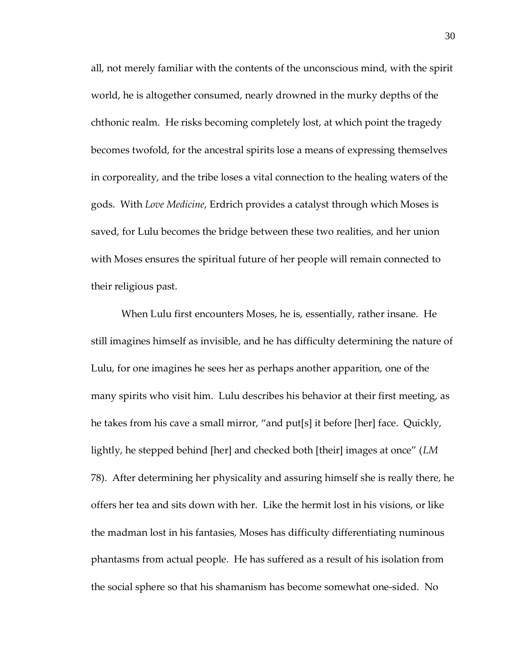all, not merely familiar with the contents of the unconscious mind, with the spirit world, he is altogether consumed, nearly drowned in the murky depths of the chthonic realm. He risks becoming completely lost, at which point the tragedy becomes twofold, for the ancestral spirits lose a means of expressing themselves in corporeality, and the tribe loses a vital connection to the healing waters of the gods. With *Love Medicine*, Erdrich provides a catalyst through which Moses is saved, for Lulu becomes the bridge between these two realities, and her union with Moses ensures the spiritual future of her people will remain connected to their religious past.

When Lulu first encounters Moses, he is, essentially, rather insane. He still imagines himself as invisible, and he has difficulty determining the nature of Lulu, for one imagines he sees her as perhaps another apparition, one of the many spirits who visit him. Lulu describes his behavior at their first meeting, as he takes from his cave a small mirror, "and put[s] it before [her] face. Quickly, lightly, he stepped behind [her] and checked both [their] images at once" (*LM* 78). After determining her physicality and assuring himself she is really there, he offers her tea and sits down with her. Like the hermit lost in his visions, or like the madman lost in his fantasies, Moses has difficulty differentiating numinous phantasms from actual people. He has suffered as a result of his isolation from the social sphere so that his shamanism has become somewhat one-sided. No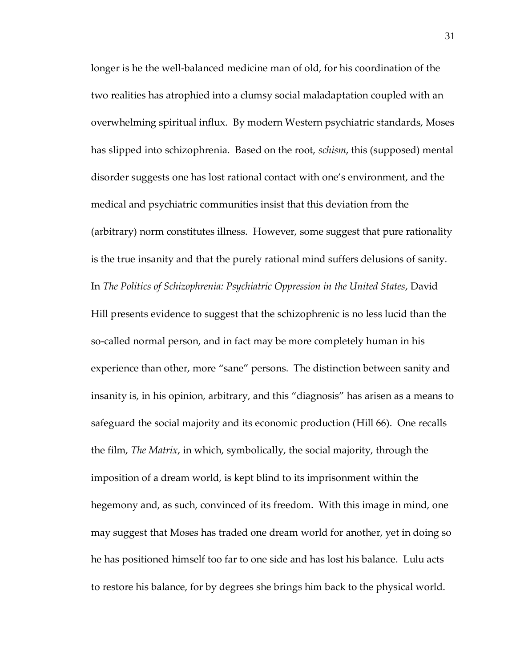longer is he the well-balanced medicine man of old, for his coordination of the two realities has atrophied into a clumsy social maladaptation coupled with an overwhelming spiritual influx. By modern Western psychiatric standards, Moses has slipped into schizophrenia. Based on the root, *schism*, this (supposed) mental disorder suggests one has lost rational contact with one's environment, and the medical and psychiatric communities insist that this deviation from the (arbitrary) norm constitutes illness. However, some suggest that pure rationality is the true insanity and that the purely rational mind suffers delusions of sanity. In *The Politics of Schizophrenia: Psychiatric Oppression in the United States*, David Hill presents evidence to suggest that the schizophrenic is no less lucid than the so-called normal person, and in fact may be more completely human in his experience than other, more "sane" persons. The distinction between sanity and insanity is, in his opinion, arbitrary, and this 'diagnosis' has arisen as a means to safeguard the social majority and its economic production (Hill 66). One recalls the film, *The Matrix*, in which, symbolically, the social majority, through the imposition of a dream world, is kept blind to its imprisonment within the hegemony and, as such, convinced of its freedom. With this image in mind, one may suggest that Moses has traded one dream world for another, yet in doing so he has positioned himself too far to one side and has lost his balance. Lulu acts to restore his balance, for by degrees she brings him back to the physical world.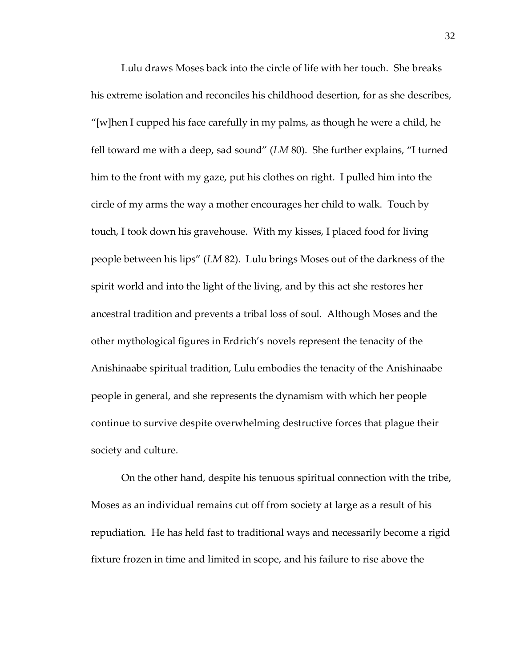Lulu draws Moses back into the circle of life with her touch. She breaks his extreme isolation and reconciles his childhood desertion, for as she describes, "[w]hen I cupped his face carefully in my palms, as though he were a child, he fell toward me with a deep, sad sound' (*LM* 80). She further explains, 'I turned him to the front with my gaze, put his clothes on right. I pulled him into the circle of my arms the way a mother encourages her child to walk. Touch by touch, I took down his gravehouse. With my kisses, I placed food for living people between his lips' (*LM* 82). Lulu brings Moses out of the darkness of the spirit world and into the light of the living, and by this act she restores her ancestral tradition and prevents a tribal loss of soul. Although Moses and the other mythological figures in Erdrich's novels represent the tenacity of the Anishinaabe spiritual tradition, Lulu embodies the tenacity of the Anishinaabe people in general, and she represents the dynamism with which her people continue to survive despite overwhelming destructive forces that plague their society and culture.

On the other hand, despite his tenuous spiritual connection with the tribe, Moses as an individual remains cut off from society at large as a result of his repudiation. He has held fast to traditional ways and necessarily become a rigid fixture frozen in time and limited in scope, and his failure to rise above the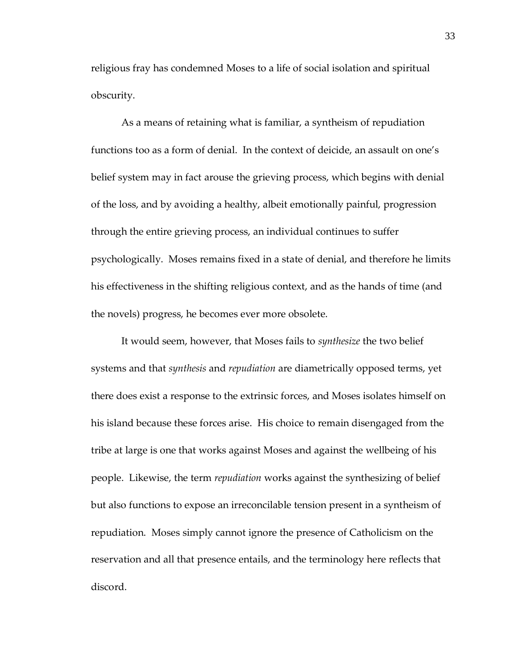religious fray has condemned Moses to a life of social isolation and spiritual obscurity.

As a means of retaining what is familiar, a syntheism of repudiation functions too as a form of denial. In the context of deicide, an assault on one's belief system may in fact arouse the grieving process, which begins with denial of the loss, and by avoiding a healthy, albeit emotionally painful, progression through the entire grieving process, an individual continues to suffer psychologically. Moses remains fixed in a state of denial, and therefore he limits his effectiveness in the shifting religious context, and as the hands of time (and the novels) progress, he becomes ever more obsolete.

It would seem, however, that Moses fails to *synthesize* the two belief systems and that *synthesis* and *repudiation* are diametrically opposed terms, yet there does exist a response to the extrinsic forces, and Moses isolates himself on his island because these forces arise. His choice to remain disengaged from the tribe at large is one that works against Moses and against the wellbeing of his people. Likewise, the term *repudiation* works against the synthesizing of belief but also functions to expose an irreconcilable tension present in a syntheism of repudiation. Moses simply cannot ignore the presence of Catholicism on the reservation and all that presence entails, and the terminology here reflects that discord.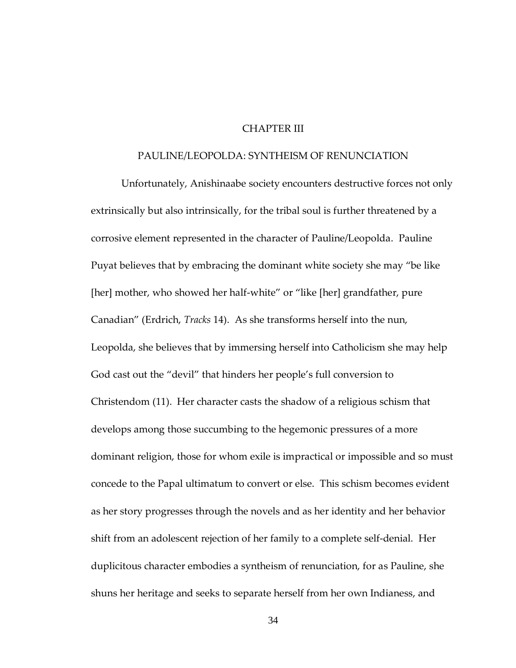# CHAPTER III

### PAULINE/LEOPOLDA: SYNTHEISM OF RENUNCIATION

Unfortunately, Anishinaabe society encounters destructive forces not only extrinsically but also intrinsically, for the tribal soul is further threatened by a corrosive element represented in the character of Pauline/Leopolda. Pauline Puyat believes that by embracing the dominant white society she may 'be like [her] mother, who showed her half-white" or "like [her] grandfather, pure Canadian' (Erdrich, *Tracks* 14). As she transforms herself into the nun, Leopolda, she believes that by immersing herself into Catholicism she may help God cast out the 'devil' that hinders her people's full conversion to Christendom (11). Her character casts the shadow of a religious schism that develops among those succumbing to the hegemonic pressures of a more dominant religion, those for whom exile is impractical or impossible and so must concede to the Papal ultimatum to convert or else. This schism becomes evident as her story progresses through the novels and as her identity and her behavior shift from an adolescent rejection of her family to a complete self-denial. Her duplicitous character embodies a syntheism of renunciation, for as Pauline, she shuns her heritage and seeks to separate herself from her own Indianess, and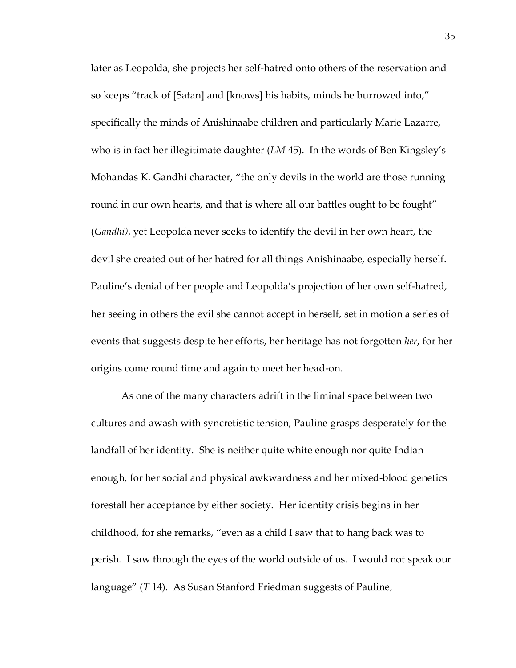later as Leopolda, she projects her self-hatred onto others of the reservation and so keeps "track of [Satan] and [knows] his habits, minds he burrowed into," specifically the minds of Anishinaabe children and particularly Marie Lazarre, who is in fact her illegitimate daughter (*LM* 45). In the words of Ben Kingsley's Mohandas K. Gandhi character, 'the only devils in the world are those running round in our own hearts, and that is where all our battles ought to be fought" (*Gandhi)*, yet Leopolda never seeks to identify the devil in her own heart, the devil she created out of her hatred for all things Anishinaabe, especially herself. Pauline's denial of her people and Leopolda's projection of her own self-hatred, her seeing in others the evil she cannot accept in herself, set in motion a series of events that suggests despite her efforts, her heritage has not forgotten *her*, for her origins come round time and again to meet her head-on.

As one of the many characters adrift in the liminal space between two cultures and awash with syncretistic tension, Pauline grasps desperately for the landfall of her identity. She is neither quite white enough nor quite Indian enough, for her social and physical awkwardness and her mixed-blood genetics forestall her acceptance by either society. Her identity crisis begins in her childhood, for she remarks, 'even as a child I saw that to hang back was to perish. I saw through the eyes of the world outside of us. I would not speak our language' (*T* 14). As Susan Stanford Friedman suggests of Pauline,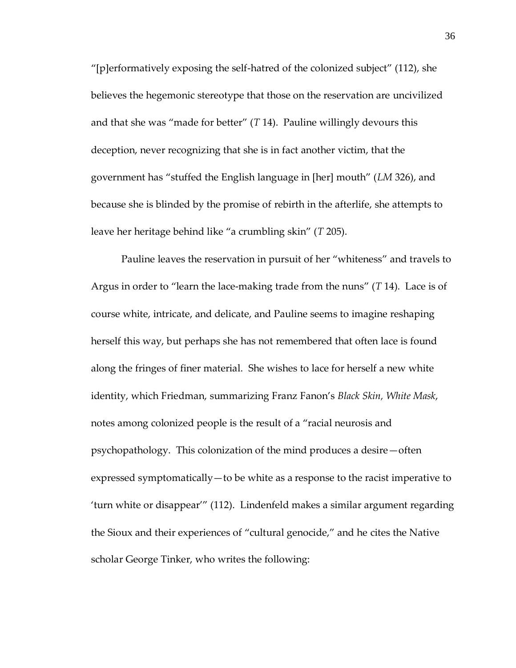"[p] erformatively exposing the self-hatred of the colonized subject" (112), she believes the hegemonic stereotype that those on the reservation are uncivilized and that she was 'made for better' (*T* 14). Pauline willingly devours this deception, never recognizing that she is in fact another victim, that the government has "stuffed the English language in [her] mouth" (*LM* 326), and because she is blinded by the promise of rebirth in the afterlife, she attempts to leave her heritage behind like 'a crumbling skin' (*T* 205).

Pauline leaves the reservation in pursuit of her 'whiteness' and travels to Argus in order to 'learn the lace-making trade from the nuns' (*T* 14). Lace is of course white, intricate, and delicate, and Pauline seems to imagine reshaping herself this way, but perhaps she has not remembered that often lace is found along the fringes of finer material. She wishes to lace for herself a new white identity, which Friedman, summarizing Franz Fanon's *Black Skin, White Mask*, notes among colonized people is the result of a 'racial neurosis and psychopathology. This colonization of the mind produces a desire—often expressed symptomatically—to be white as a response to the racist imperative to 'turn white or disappear'' (112). Lindenfeld makes a similar argument regarding the Sioux and their experiences of 'cultural genocide,' and he cites the Native scholar George Tinker, who writes the following: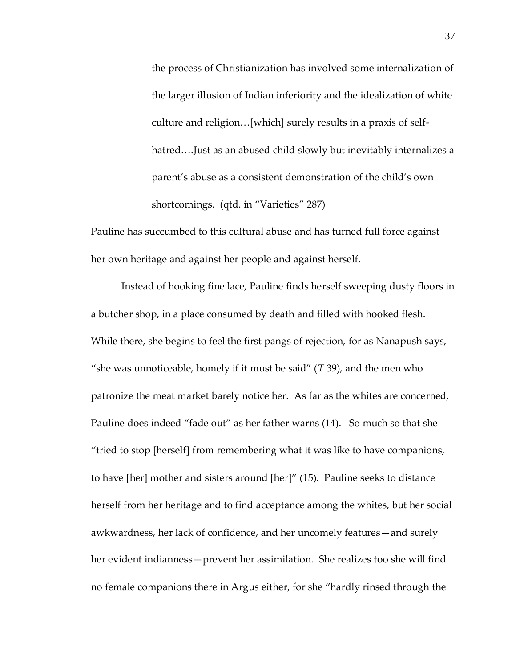the process of Christianization has involved some internalization of the larger illusion of Indian inferiority and the idealization of white culture and religion... [which] surely results in a praxis of selfhatred....Just as an abused child slowly but inevitably internalizes a parent's abuse as a consistent demonstration of the child's own shortcomings. (qtd. in "Varieties" 287)

Pauline has succumbed to this cultural abuse and has turned full force against her own heritage and against her people and against herself.

Instead of hooking fine lace, Pauline finds herself sweeping dusty floors in a butcher shop, in a place consumed by death and filled with hooked flesh. While there, she begins to feel the first pangs of rejection, for as Nanapush says, 'she was unnoticeable, homely if it must be said' (*T* 39), and the men who patronize the meat market barely notice her. As far as the whites are concerned, Pauline does indeed 'fade out' as her father warns (14). So much so that she "tried to stop [herself] from remembering what it was like to have companions, to have [her] mother and sisters around [her]'' (15). Pauline seeks to distance herself from her heritage and to find acceptance among the whites, but her social awkwardness, her lack of confidence, and her uncomely features—and surely her evident indianness—prevent her assimilation. She realizes too she will find no female companions there in Argus either, for she 'hardly rinsed through the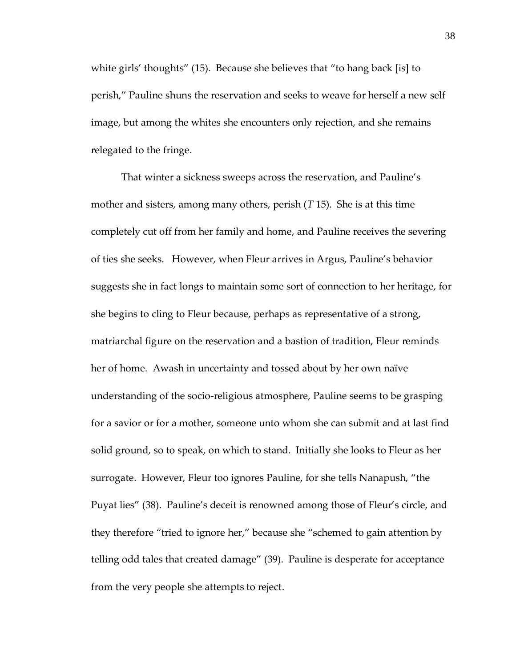white girls' thoughts' (15). Because she believes that 'to hang back [is] to perish,' Pauline shuns the reservation and seeks to weave for herself a new self image, but among the whites she encounters only rejection, and she remains relegated to the fringe.

That winter a sickness sweeps across the reservation, and Pauline's mother and sisters, among many others, perish (*T* 15). She is at this time completely cut off from her family and home, and Pauline receives the severing of ties she seeks. However, when Fleur arrives in Argus, Pauline's behavior suggests she in fact longs to maintain some sort of connection to her heritage, for she begins to cling to Fleur because, perhaps as representative of a strong, matriarchal figure on the reservation and a bastion of tradition, Fleur reminds her of home. Awash in uncertainty and tossed about by her own naïve understanding of the socio-religious atmosphere, Pauline seems to be grasping for a savior or for a mother, someone unto whom she can submit and at last find solid ground, so to speak, on which to stand. Initially she looks to Fleur as her surrogate. However, Fleur too ignores Pauline, for she tells Nanapush, 'the Puyat lies' (38). Pauline's deceit is renowned among those of Fleur's circle, and they therefore 'tried to ignore her,' because she 'schemed to gain attention by telling odd tales that created damage' (39). Pauline is desperate for acceptance from the very people she attempts to reject.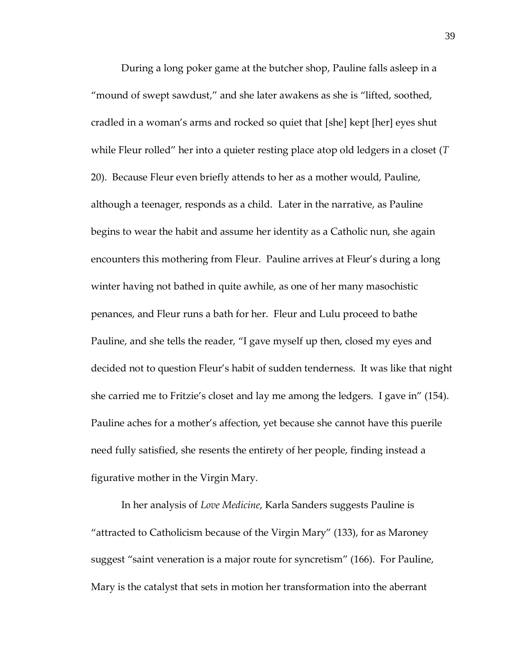During a long poker game at the butcher shop, Pauline falls asleep in a 'mound of swept sawdust,' and she later awakens as she is 'lifted, soothed, cradled in a woman's arms and rocked so quiet that [she] kept [her] eyes shut while Fleur rolled' her into a quieter resting place atop old ledgers in a closet (*T* 20). Because Fleur even briefly attends to her as a mother would, Pauline, although a teenager, responds as a child. Later in the narrative, as Pauline begins to wear the habit and assume her identity as a Catholic nun, she again encounters this mothering from Fleur. Pauline arrives at Fleur's during a long winter having not bathed in quite awhile, as one of her many masochistic penances, and Fleur runs a bath for her. Fleur and Lulu proceed to bathe Pauline, and she tells the reader, 'I gave myself up then, closed my eyes and decided not to question Fleur's habit of sudden tenderness. It was like that night she carried me to Fritzie's closet and lay me among the ledgers. I gave in' (154). Pauline aches for a mother's affection, yet because she cannot have this puerile need fully satisfied, she resents the entirety of her people, finding instead a figurative mother in the Virgin Mary.

In her analysis of *Love Medicine*, Karla Sanders suggests Pauline is 'attracted to Catholicism because of the Virgin Mary' (133), for as Maroney suggest "saint veneration is a major route for syncretism" (166). For Pauline, Mary is the catalyst that sets in motion her transformation into the aberrant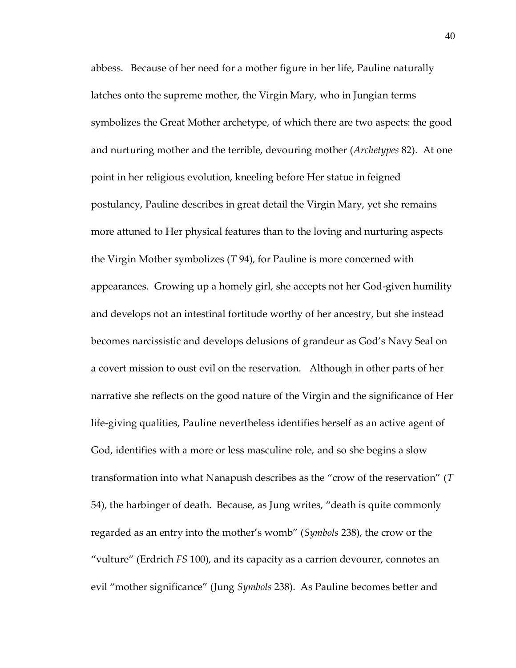abbess. Because of her need for a mother figure in her life, Pauline naturally latches onto the supreme mother, the Virgin Mary, who in Jungian terms symbolizes the Great Mother archetype, of which there are two aspects: the good and nurturing mother and the terrible, devouring mother (*Archetypes* 82). At one point in her religious evolution, kneeling before Her statue in feigned postulancy, Pauline describes in great detail the Virgin Mary, yet she remains more attuned to Her physical features than to the loving and nurturing aspects the Virgin Mother symbolizes (*T* 94), for Pauline is more concerned with appearances. Growing up a homely girl, she accepts not her God-given humility and develops not an intestinal fortitude worthy of her ancestry, but she instead becomes narcissistic and develops delusions of grandeur as God's Navy Seal on a covert mission to oust evil on the reservation. Although in other parts of her narrative she reflects on the good nature of the Virgin and the significance of Her life-giving qualities, Pauline nevertheless identifies herself as an active agent of God, identifies with a more or less masculine role, and so she begins a slow transformation into what Nanapush describes as the 'crow of the reservation' (*T* 54), the harbinger of death. Because, as Jung writes, 'death is quite commonly regarded as an entry into the mother's womb' (*Symbols* 238), the crow or the 'vulture' (Erdrich *FS* 100), and its capacity as a carrion devourer, connotes an evil 'mother significance' (Jung *Symbols* 238). As Pauline becomes better and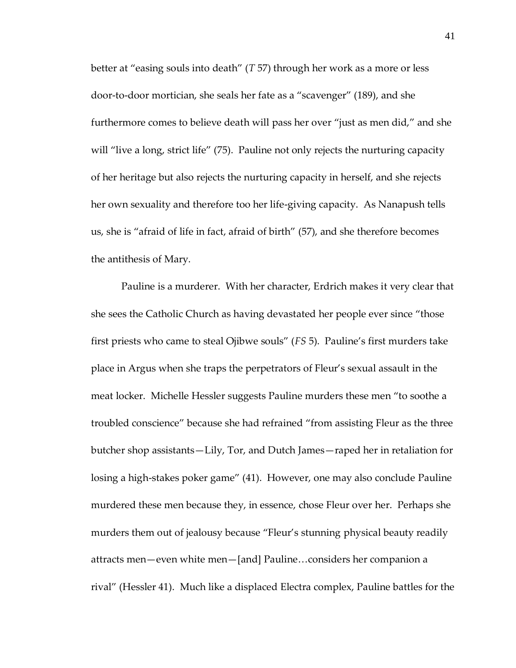better at 'easing souls into death' (*T* 57) through her work as a more or less door-to-door mortician, she seals her fate as a 'scavenger' (189), and she furthermore comes to believe death will pass her over "just as men did," and she will "live a long, strict life" (75). Pauline not only rejects the nurturing capacity of her heritage but also rejects the nurturing capacity in herself, and she rejects her own sexuality and therefore too her life-giving capacity. As Nanapush tells us, she is 'afraid of life in fact, afraid of birth' (57), and she therefore becomes the antithesis of Mary.

Pauline is a murderer. With her character, Erdrich makes it very clear that she sees the Catholic Church as having devastated her people ever since 'those first priests who came to steal Ojibwe souls' (*FS* 5). Pauline's first murders take place in Argus when she traps the perpetrators of Fleur's sexual assault in the meat locker. Michelle Hessler suggests Pauline murders these men 'to soothe a troubled conscience' because she had refrained 'from assisting Fleur as the three butcher shop assistants—Lily, Tor, and Dutch James—raped her in retaliation for losing a high-stakes poker game' (41). However, one may also conclude Pauline murdered these men because they, in essence, chose Fleur over her. Perhaps she murders them out of jealousy because 'Fleur's stunning physical beauty readily attracts men—even white men—[and] Pauline...considers her companion a rival' (Hessler 41). Much like a displaced Electra complex, Pauline battles for the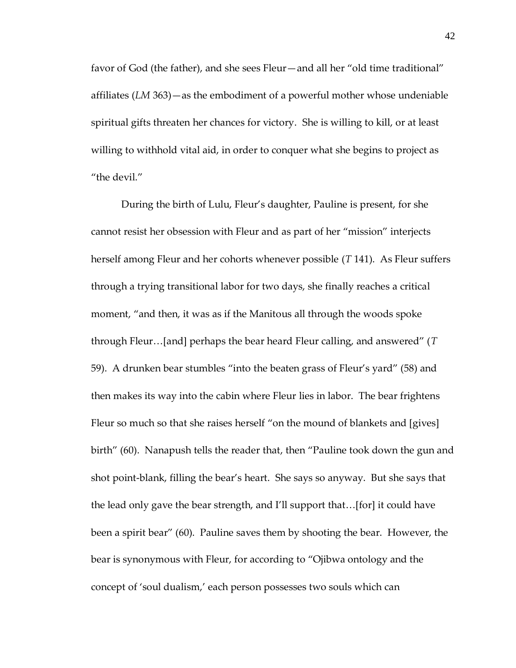favor of God (the father), and she sees Fleur—and all her 'old time traditional' affiliates (*LM* 363)—as the embodiment of a powerful mother whose undeniable spiritual gifts threaten her chances for victory. She is willing to kill, or at least willing to withhold vital aid, in order to conquer what she begins to project as "the devil."

During the birth of Lulu, Fleur's daughter, Pauline is present, for she cannot resist her obsession with Fleur and as part of her 'mission' interjects herself among Fleur and her cohorts whenever possible (*T* 141). As Fleur suffers through a trying transitional labor for two days, she finally reaches a critical moment, 'and then, it was as if the Manitous all through the woods spoke through Fleur...[and] perhaps the bear heard Fleur calling, and answered" (*T* 59). A drunken bear stumbles 'into the beaten grass of Fleur's yard' (58) and then makes its way into the cabin where Fleur lies in labor. The bear frightens Fleur so much so that she raises herself "on the mound of blankets and [gives] birth' (60). Nanapush tells the reader that, then 'Pauline took down the gun and shot point-blank, filling the bear's heart. She says so anyway. But she says that the lead only gave the bear strength, and I'll support that... [for] it could have been a spirit bear' (60). Pauline saves them by shooting the bear. However, the bear is synonymous with Fleur, for according to 'Ojibwa ontology and the concept of 'soul dualism,' each person possesses two souls which can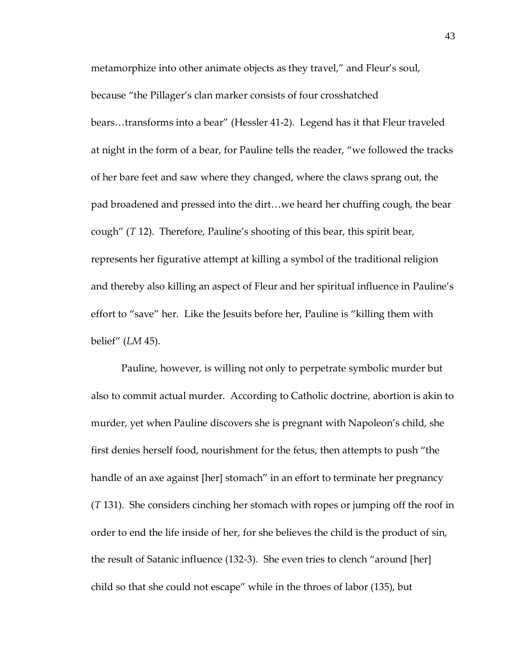metamorphize into other animate objects as they travel,' and Fleur's soul, because 'the Pillager's clan marker consists of four crosshatched bears...transforms into a bear'' (Hessler 41-2). Legend has it that Fleur traveled at night in the form of a bear, for Pauline tells the reader, 'we followed the tracks of her bare feet and saw where they changed, where the claws sprang out, the pad broadened and pressed into the dirt...we heard her chuffing cough, the bear cough' (*T* 12). Therefore, Pauline's shooting of this bear, this spirit bear, represents her figurative attempt at killing a symbol of the traditional religion and thereby also killing an aspect of Fleur and her spiritual influence in Pauline's effort to "save" her. Like the Jesuits before her, Pauline is "killing them with belief' (*LM* 45).

Pauline, however, is willing not only to perpetrate symbolic murder but also to commit actual murder. According to Catholic doctrine, abortion is akin to murder, yet when Pauline discovers she is pregnant with Napoleon's child, she first denies herself food, nourishment for the fetus, then attempts to push 'the handle of an axe against [her] stomach" in an effort to terminate her pregnancy (*T* 131). She considers cinching her stomach with ropes or jumping off the roof in order to end the life inside of her, for she believes the child is the product of sin, the result of Satanic influence  $(132-3)$ . She even tries to clench "around [her] child so that she could not escape' while in the throes of labor (135), but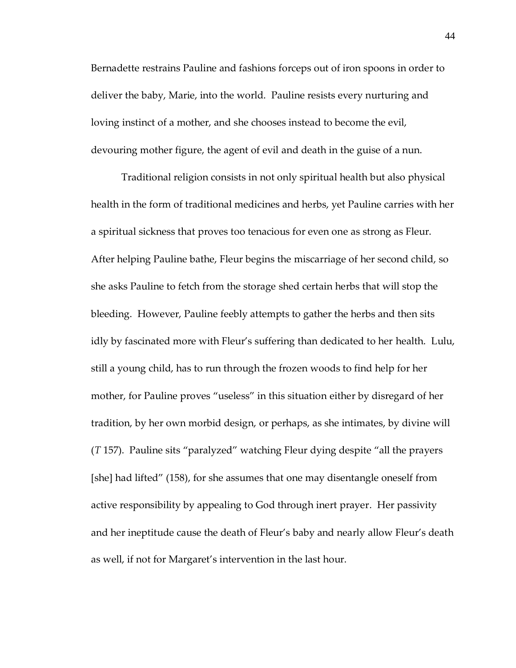Bernadette restrains Pauline and fashions forceps out of iron spoons in order to deliver the baby, Marie, into the world. Pauline resists every nurturing and loving instinct of a mother, and she chooses instead to become the evil, devouring mother figure, the agent of evil and death in the guise of a nun.

Traditional religion consists in not only spiritual health but also physical health in the form of traditional medicines and herbs, yet Pauline carries with her a spiritual sickness that proves too tenacious for even one as strong as Fleur. After helping Pauline bathe, Fleur begins the miscarriage of her second child, so she asks Pauline to fetch from the storage shed certain herbs that will stop the bleeding. However, Pauline feebly attempts to gather the herbs and then sits idly by fascinated more with Fleur's suffering than dedicated to her health. Lulu, still a young child, has to run through the frozen woods to find help for her mother, for Pauline proves 'useless' in this situation either by disregard of her tradition, by her own morbid design, or perhaps, as she intimates, by divine will (*T* 157). Pauline sits 'paralyzed' watching Fleur dying despite 'all the prayers [she] had lifted"  $(158)$ , for she assumes that one may disentangle oneself from active responsibility by appealing to God through inert prayer. Her passivity and her ineptitude cause the death of Fleur's baby and nearly allow Fleur's death as well, if not for Margaret's intervention in the last hour.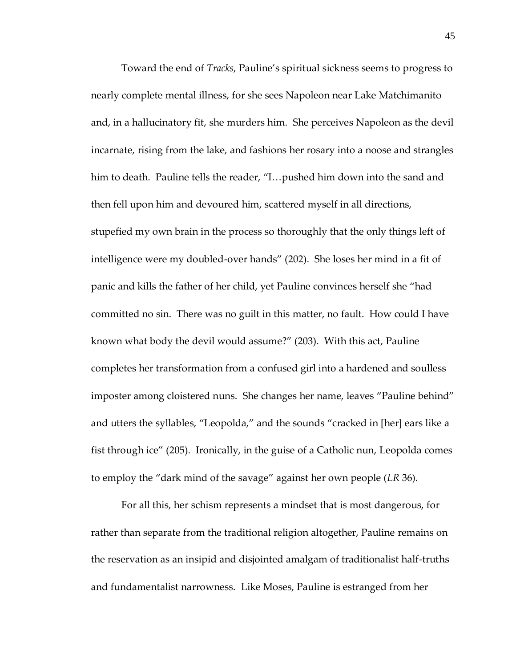Toward the end of *Tracks*, Pauline's spiritual sickness seems to progress to nearly complete mental illness, for she sees Napoleon near Lake Matchimanito and, in a hallucinatory fit, she murders him. She perceives Napoleon as the devil incarnate, rising from the lake, and fashions her rosary into a noose and strangles him to death. Pauline tells the reader, "I...pushed him down into the sand and then fell upon him and devoured him, scattered myself in all directions, stupefied my own brain in the process so thoroughly that the only things left of intelligence were my doubled-over hands' (202). She loses her mind in a fit of panic and kills the father of her child, yet Pauline convinces herself she 'had committed no sin. There was no guilt in this matter, no fault. How could I have known what body the devil would assume?' (203). With this act, Pauline completes her transformation from a confused girl into a hardened and soulless imposter among cloistered nuns. She changes her name, leaves 'Pauline behind' and utters the syllables, "Leopolda," and the sounds "cracked in [her] ears like a fist through ice' (205). Ironically, in the guise of a Catholic nun, Leopolda comes to employ the 'dark mind of the savage' against her own people (*LR* 36).

For all this, her schism represents a mindset that is most dangerous, for rather than separate from the traditional religion altogether, Pauline remains on the reservation as an insipid and disjointed amalgam of traditionalist half-truths and fundamentalist narrowness. Like Moses, Pauline is estranged from her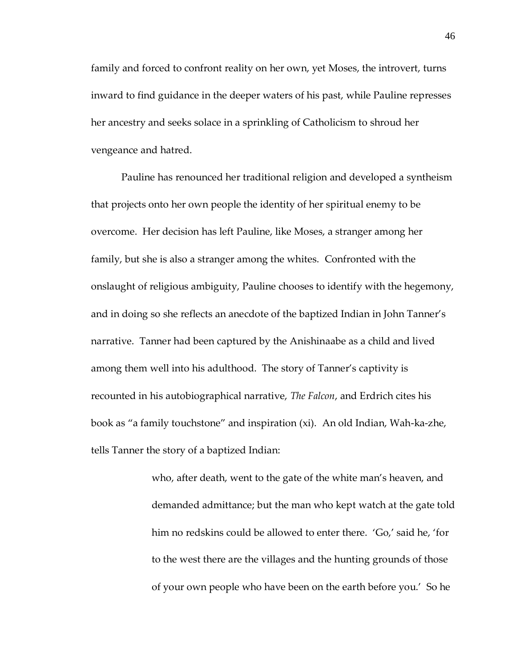family and forced to confront reality on her own, yet Moses, the introvert, turns inward to find guidance in the deeper waters of his past, while Pauline represses her ancestry and seeks solace in a sprinkling of Catholicism to shroud her vengeance and hatred.

Pauline has renounced her traditional religion and developed a syntheism that projects onto her own people the identity of her spiritual enemy to be overcome. Her decision has left Pauline, like Moses, a stranger among her family, but she is also a stranger among the whites. Confronted with the onslaught of religious ambiguity, Pauline chooses to identify with the hegemony, and in doing so she reflects an anecdote of the baptized Indian in John Tanner's narrative. Tanner had been captured by the Anishinaabe as a child and lived among them well into his adulthood. The story of Tanner's captivity is recounted in his autobiographical narrative, *The Falcon*, and Erdrich cites his book as 'a family touchstone' and inspiration (xi). An old Indian, Wah-ka-zhe, tells Tanner the story of a baptized Indian:

> who, after death, went to the gate of the white man's heaven, and demanded admittance; but the man who kept watch at the gate told him no redskins could be allowed to enter there. 'Go,' said he, 'for to the west there are the villages and the hunting grounds of those of your own people who have been on the earth before you.' So he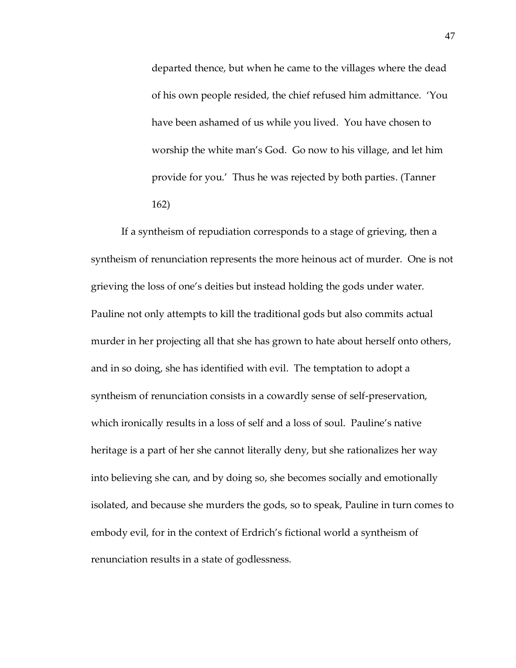departed thence, but when he came to the villages where the dead of his own people resided, the chief refused him admittance. 'You have been ashamed of us while you lived. You have chosen to worship the white man's God. Go now to his village, and let him provide for you.' Thus he was rejected by both parties. (Tanner 162)

If a syntheism of repudiation corresponds to a stage of grieving, then a syntheism of renunciation represents the more heinous act of murder. One is not grieving the loss of one's deities but instead holding the gods under water. Pauline not only attempts to kill the traditional gods but also commits actual murder in her projecting all that she has grown to hate about herself onto others, and in so doing, she has identified with evil. The temptation to adopt a syntheism of renunciation consists in a cowardly sense of self-preservation, which ironically results in a loss of self and a loss of soul. Pauline's native heritage is a part of her she cannot literally deny, but she rationalizes her way into believing she can, and by doing so, she becomes socially and emotionally isolated, and because she murders the gods, so to speak, Pauline in turn comes to embody evil, for in the context of Erdrich's fictional world a syntheism of renunciation results in a state of godlessness.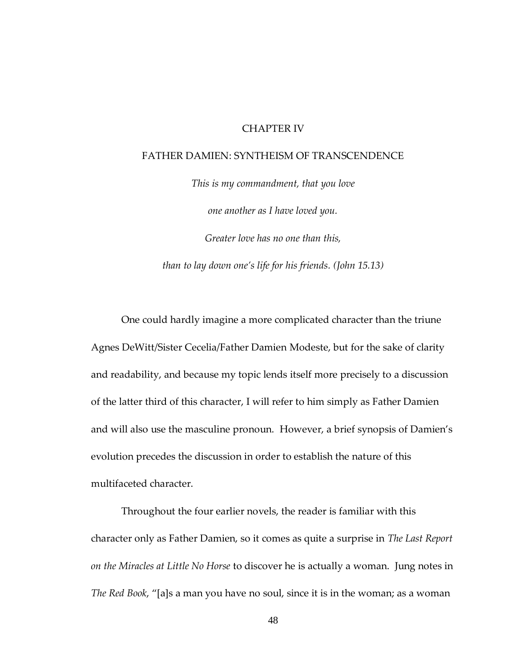### CHAPTER IV

#### FATHER DAMIEN: SYNTHEISM OF TRANSCENDENCE

*This is my commandment, that you love one another as I have loved you. Greater love has no one than this, than to lay down one's life for his friends. (John 15.13)*

One could hardly imagine a more complicated character than the triune Agnes DeWitt/Sister Cecelia/Father Damien Modeste, but for the sake of clarity and readability, and because my topic lends itself more precisely to a discussion of the latter third of this character, I will refer to him simply as Father Damien and will also use the masculine pronoun. However, a brief synopsis of Damien's evolution precedes the discussion in order to establish the nature of this multifaceted character.

Throughout the four earlier novels, the reader is familiar with this character only as Father Damien, so it comes as quite a surprise in *The Last Report on the Miracles at Little No Horse* to discover he is actually a woman. Jung notes in *The Red Book,* "[a]s a man you have no soul, since it is in the woman; as a woman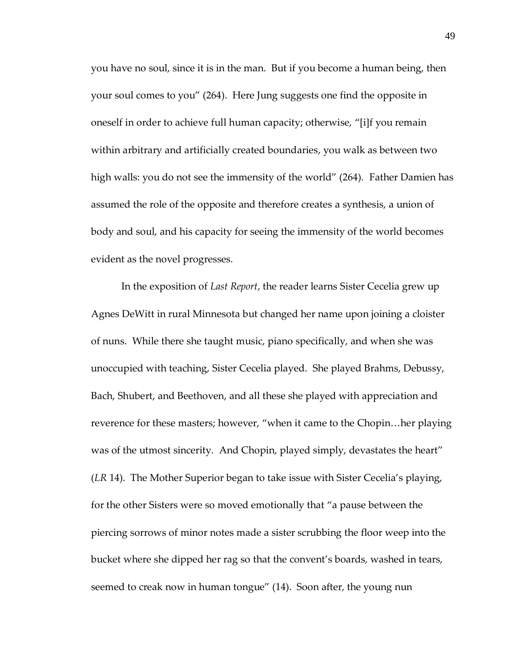you have no soul, since it is in the man. But if you become a human being, then your soul comes to you' (264). Here Jung suggests one find the opposite in oneself in order to achieve full human capacity; otherwise, "[i]f you remain within arbitrary and artificially created boundaries, you walk as between two high walls: you do not see the immensity of the world" (264). Father Damien has assumed the role of the opposite and therefore creates a synthesis, a union of body and soul, and his capacity for seeing the immensity of the world becomes evident as the novel progresses.

In the exposition of *Last Report*, the reader learns Sister Cecelia grew up Agnes DeWitt in rural Minnesota but changed her name upon joining a cloister of nuns. While there she taught music, piano specifically, and when she was unoccupied with teaching, Sister Cecelia played. She played Brahms, Debussy, Bach, Shubert, and Beethoven, and all these she played with appreciation and reverence for these masters; however, "when it came to the Chopin...her playing was of the utmost sincerity. And Chopin, played simply, devastates the heart" (*LR* 14). The Mother Superior began to take issue with Sister Cecelia's playing, for the other Sisters were so moved emotionally that 'a pause between the piercing sorrows of minor notes made a sister scrubbing the floor weep into the bucket where she dipped her rag so that the convent's boards, washed in tears, seemed to creak now in human tongue" (14). Soon after, the young nun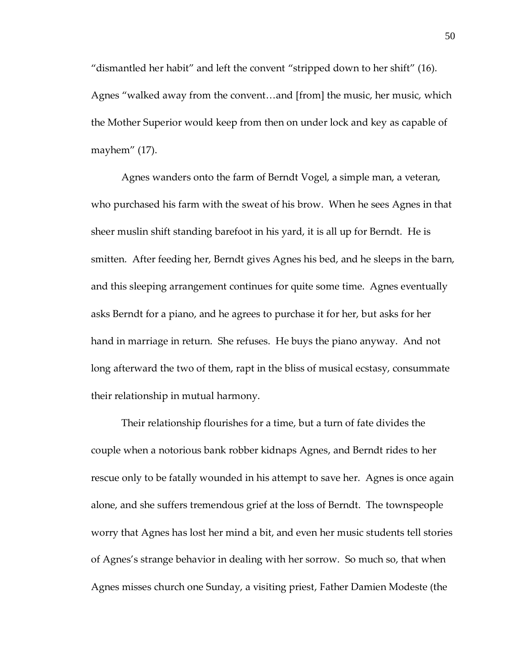'dismantled her habit' and left the convent 'stripped down to her shift' (16). Agnes "walked away from the convent...and [from] the music, her music, which the Mother Superior would keep from then on under lock and key as capable of mayhem' (17).

Agnes wanders onto the farm of Berndt Vogel, a simple man, a veteran, who purchased his farm with the sweat of his brow. When he sees Agnes in that sheer muslin shift standing barefoot in his yard, it is all up for Berndt. He is smitten. After feeding her, Berndt gives Agnes his bed, and he sleeps in the barn, and this sleeping arrangement continues for quite some time. Agnes eventually asks Berndt for a piano, and he agrees to purchase it for her, but asks for her hand in marriage in return. She refuses. He buys the piano anyway. And not long afterward the two of them, rapt in the bliss of musical ecstasy, consummate their relationship in mutual harmony.

Their relationship flourishes for a time, but a turn of fate divides the couple when a notorious bank robber kidnaps Agnes, and Berndt rides to her rescue only to be fatally wounded in his attempt to save her. Agnes is once again alone, and she suffers tremendous grief at the loss of Berndt. The townspeople worry that Agnes has lost her mind a bit, and even her music students tell stories of Agnes's strange behavior in dealing with her sorrow. So much so, that when Agnes misses church one Sunday, a visiting priest, Father Damien Modeste (the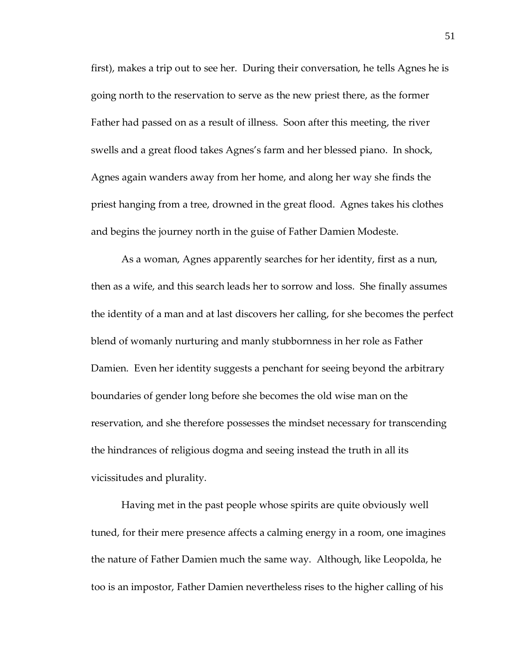first), makes a trip out to see her. During their conversation, he tells Agnes he is going north to the reservation to serve as the new priest there, as the former Father had passed on as a result of illness. Soon after this meeting, the river swells and a great flood takes Agnes's farm and her blessed piano. In shock, Agnes again wanders away from her home, and along her way she finds the priest hanging from a tree, drowned in the great flood. Agnes takes his clothes and begins the journey north in the guise of Father Damien Modeste.

As a woman, Agnes apparently searches for her identity, first as a nun, then as a wife, and this search leads her to sorrow and loss. She finally assumes the identity of a man and at last discovers her calling, for she becomes the perfect blend of womanly nurturing and manly stubbornness in her role as Father Damien. Even her identity suggests a penchant for seeing beyond the arbitrary boundaries of gender long before she becomes the old wise man on the reservation, and she therefore possesses the mindset necessary for transcending the hindrances of religious dogma and seeing instead the truth in all its vicissitudes and plurality.

Having met in the past people whose spirits are quite obviously well tuned, for their mere presence affects a calming energy in a room, one imagines the nature of Father Damien much the same way. Although, like Leopolda, he too is an impostor, Father Damien nevertheless rises to the higher calling of his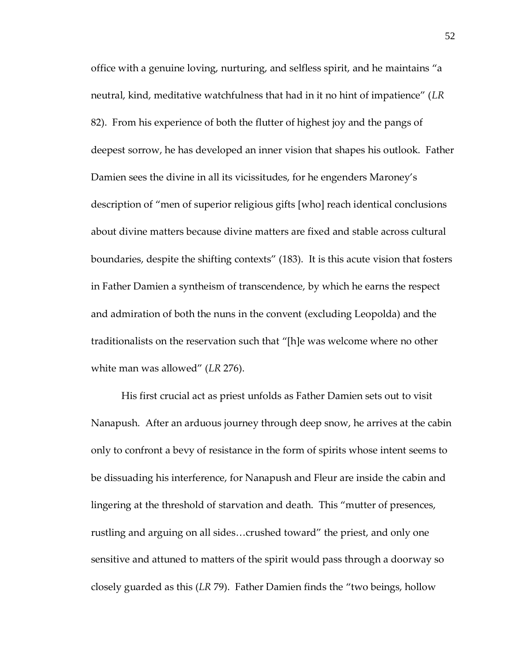office with a genuine loving, nurturing, and selfless spirit, and he maintains 'a neutral, kind, meditative watchfulness that had in it no hint of impatience' (*LR* 82). From his experience of both the flutter of highest joy and the pangs of deepest sorrow, he has developed an inner vision that shapes his outlook. Father Damien sees the divine in all its vicissitudes, for he engenders Maroney's description of "men of superior religious gifts [who] reach identical conclusions about divine matters because divine matters are fixed and stable across cultural boundaries, despite the shifting contexts' (183). It is this acute vision that fosters in Father Damien a syntheism of transcendence, by which he earns the respect and admiration of both the nuns in the convent (excluding Leopolda) and the traditionalists on the reservation such that "[h]e was welcome where no other white man was allowed' (*LR* 276).

His first crucial act as priest unfolds as Father Damien sets out to visit Nanapush. After an arduous journey through deep snow, he arrives at the cabin only to confront a bevy of resistance in the form of spirits whose intent seems to be dissuading his interference, for Nanapush and Fleur are inside the cabin and lingering at the threshold of starvation and death. This 'mutter of presences, rustling and arguing on all sides...crushed toward" the priest, and only one sensitive and attuned to matters of the spirit would pass through a doorway so closely guarded as this (*LR* 79). Father Damien finds the 'two beings, hollow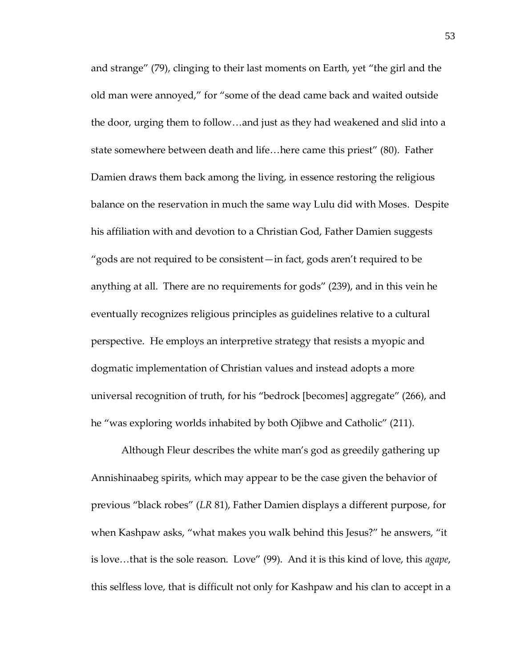and strange' (79), clinging to their last moments on Earth, yet 'the girl and the old man were annoyed,' for 'some of the dead came back and waited outside the door, urging them to follow...and just as they had weakened and slid into a state somewhere between death and life...here came this priest" (80). Father Damien draws them back among the living, in essence restoring the religious balance on the reservation in much the same way Lulu did with Moses. Despite his affiliation with and devotion to a Christian God, Father Damien suggests 'gods are not required to be consistent—in fact, gods aren't required to be anything at all. There are no requirements for gods' (239), and in this vein he eventually recognizes religious principles as guidelines relative to a cultural perspective. He employs an interpretive strategy that resists a myopic and dogmatic implementation of Christian values and instead adopts a more universal recognition of truth, for his "bedrock [becomes] aggregate" (266), and he 'was exploring worlds inhabited by both Ojibwe and Catholic' (211).

Although Fleur describes the white man's god as greedily gathering up Annishinaabeg spirits, which may appear to be the case given the behavior of previous 'black robes' (*LR* 81), Father Damien displays a different purpose, for when Kashpaw asks, "what makes you walk behind this Jesus?" he answers, "it is love...that is the sole reason. Love" (99). And it is this kind of love, this *agape*, this selfless love, that is difficult not only for Kashpaw and his clan to accept in a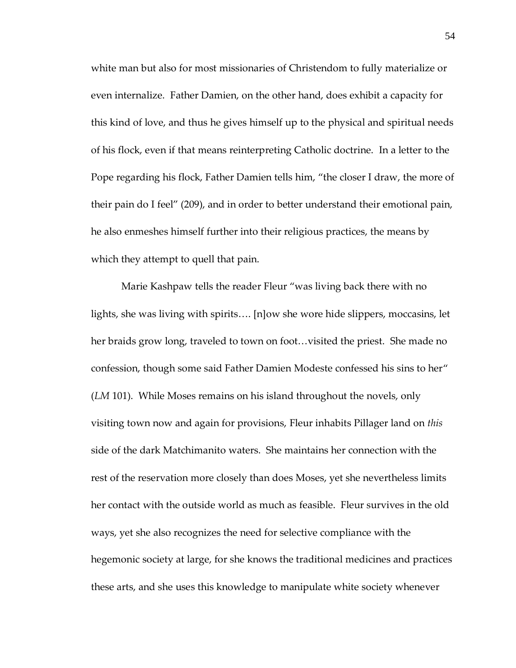white man but also for most missionaries of Christendom to fully materialize or even internalize. Father Damien, on the other hand, does exhibit a capacity for this kind of love, and thus he gives himself up to the physical and spiritual needs of his flock, even if that means reinterpreting Catholic doctrine. In a letter to the Pope regarding his flock, Father Damien tells him, 'the closer I draw, the more of their pain do I feel' (209), and in order to better understand their emotional pain, he also enmeshes himself further into their religious practices, the means by which they attempt to quell that pain.

Marie Kashpaw tells the reader Fleur 'was living back there with no lights, she was living with spirits.... [n]ow she wore hide slippers, moccasins, let her braids grow long, traveled to town on foot... visited the priest. She made no confession, though some said Father Damien Modeste confessed his sins to her' (*LM* 101). While Moses remains on his island throughout the novels, only visiting town now and again for provisions, Fleur inhabits Pillager land on *this* side of the dark Matchimanito waters. She maintains her connection with the rest of the reservation more closely than does Moses, yet she nevertheless limits her contact with the outside world as much as feasible. Fleur survives in the old ways, yet she also recognizes the need for selective compliance with the hegemonic society at large, for she knows the traditional medicines and practices these arts, and she uses this knowledge to manipulate white society whenever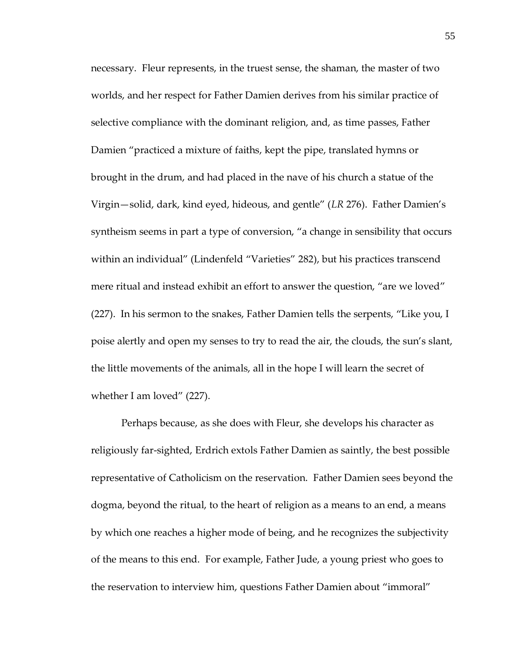necessary. Fleur represents, in the truest sense, the shaman, the master of two worlds, and her respect for Father Damien derives from his similar practice of selective compliance with the dominant religion, and, as time passes, Father Damien 'practiced a mixture of faiths, kept the pipe, translated hymns or brought in the drum, and had placed in the nave of his church a statue of the Virgin—solid, dark, kind eyed, hideous, and gentle' (*LR* 276). Father Damien's syntheism seems in part a type of conversion, "a change in sensibility that occurs within an individual" (Lindenfeld "Varieties" 282), but his practices transcend mere ritual and instead exhibit an effort to answer the question, "are we loved" (227). In his sermon to the snakes, Father Damien tells the serpents, 'Like you, I poise alertly and open my senses to try to read the air, the clouds, the sun's slant, the little movements of the animals, all in the hope I will learn the secret of whether I am loved' (227).

Perhaps because, as she does with Fleur, she develops his character as religiously far-sighted, Erdrich extols Father Damien as saintly, the best possible representative of Catholicism on the reservation. Father Damien sees beyond the dogma, beyond the ritual, to the heart of religion as a means to an end, a means by which one reaches a higher mode of being, and he recognizes the subjectivity of the means to this end. For example, Father Jude, a young priest who goes to the reservation to interview him, questions Father Damien about 'immoral'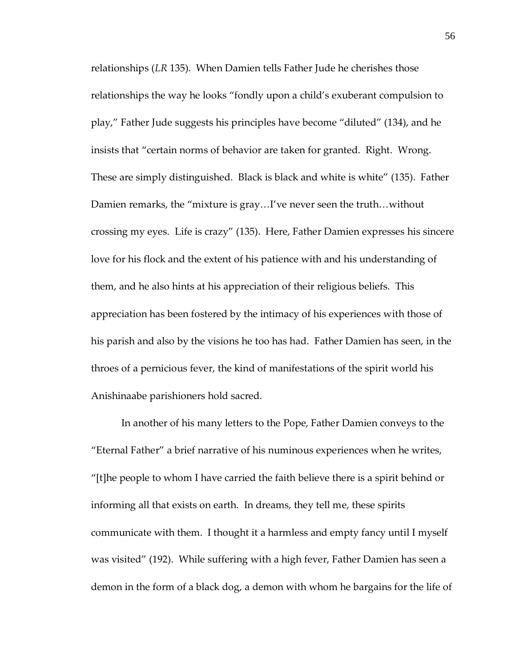relationships (*LR* 135). When Damien tells Father Jude he cherishes those relationships the way he looks 'fondly upon a child's exuberant compulsion to play,' Father Jude suggests his principles have become 'diluted' (134), and he insists that 'certain norms of behavior are taken for granted. Right. Wrong. These are simply distinguished. Black is black and white is white' (135). Father Damien remarks, the "mixture is gray...I've never seen the truth...without crossing my eyes. Life is crazy' (135). Here, Father Damien expresses his sincere love for his flock and the extent of his patience with and his understanding of them, and he also hints at his appreciation of their religious beliefs. This appreciation has been fostered by the intimacy of his experiences with those of his parish and also by the visions he too has had. Father Damien has seen, in the throes of a pernicious fever, the kind of manifestations of the spirit world his Anishinaabe parishioners hold sacred.

In another of his many letters to the Pope, Father Damien conveys to the 'Eternal Father' a brief narrative of his numinous experiences when he writes, "[t]he people to whom I have carried the faith believe there is a spirit behind or informing all that exists on earth. In dreams, they tell me, these spirits communicate with them. I thought it a harmless and empty fancy until I myself was visited' (192). While suffering with a high fever, Father Damien has seen a demon in the form of a black dog, a demon with whom he bargains for the life of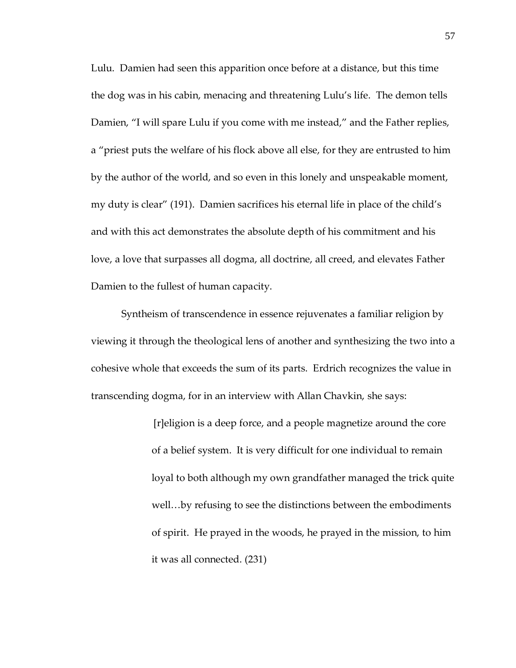Lulu. Damien had seen this apparition once before at a distance, but this time the dog was in his cabin, menacing and threatening Lulu's life. The demon tells Damien, "I will spare Lulu if you come with me instead," and the Father replies, a 'priest puts the welfare of his flock above all else, for they are entrusted to him by the author of the world, and so even in this lonely and unspeakable moment, my duty is clear' (191). Damien sacrifices his eternal life in place of the child's and with this act demonstrates the absolute depth of his commitment and his love, a love that surpasses all dogma, all doctrine, all creed, and elevates Father Damien to the fullest of human capacity.

Syntheism of transcendence in essence rejuvenates a familiar religion by viewing it through the theological lens of another and synthesizing the two into a cohesive whole that exceeds the sum of its parts. Erdrich recognizes the value in transcending dogma, for in an interview with Allan Chavkin, she says:

> [r]eligion is a deep force, and a people magnetize around the core of a belief system. It is very difficult for one individual to remain loyal to both although my own grandfather managed the trick quite well...by refusing to see the distinctions between the embodiments of spirit. He prayed in the woods, he prayed in the mission, to him it was all connected. (231)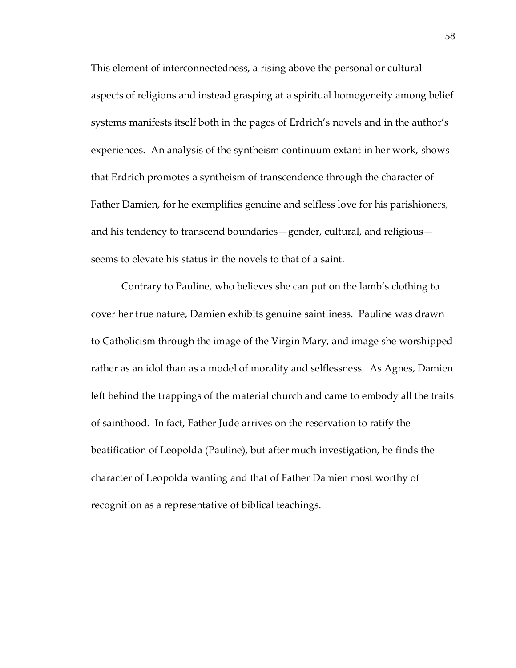This element of interconnectedness, a rising above the personal or cultural aspects of religions and instead grasping at a spiritual homogeneity among belief systems manifests itself both in the pages of Erdrich's novels and in the author's experiences. An analysis of the syntheism continuum extant in her work, shows that Erdrich promotes a syntheism of transcendence through the character of Father Damien, for he exemplifies genuine and selfless love for his parishioners, and his tendency to transcend boundaries—gender, cultural, and religious seems to elevate his status in the novels to that of a saint.

Contrary to Pauline, who believes she can put on the lamb's clothing to cover her true nature, Damien exhibits genuine saintliness. Pauline was drawn to Catholicism through the image of the Virgin Mary, and image she worshipped rather as an idol than as a model of morality and selflessness. As Agnes, Damien left behind the trappings of the material church and came to embody all the traits of sainthood. In fact, Father Jude arrives on the reservation to ratify the beatification of Leopolda (Pauline), but after much investigation, he finds the character of Leopolda wanting and that of Father Damien most worthy of recognition as a representative of biblical teachings.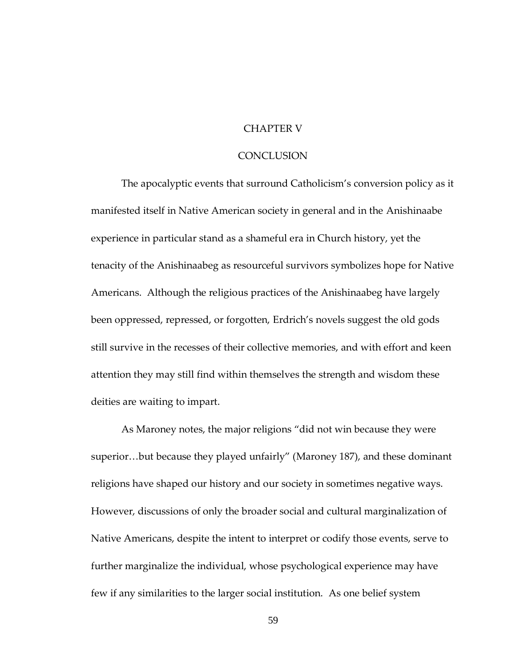## CHAPTER V

#### **CONCLUSION**

The apocalyptic events that surround Catholicism's conversion policy as it manifested itself in Native American society in general and in the Anishinaabe experience in particular stand as a shameful era in Church history, yet the tenacity of the Anishinaabeg as resourceful survivors symbolizes hope for Native Americans. Although the religious practices of the Anishinaabeg have largely been oppressed, repressed, or forgotten, Erdrich's novels suggest the old gods still survive in the recesses of their collective memories, and with effort and keen attention they may still find within themselves the strength and wisdom these deities are waiting to impart.

As Maroney notes, the major religions 'did not win because they were superior...but because they played unfairly" (Maroney 187), and these dominant religions have shaped our history and our society in sometimes negative ways. However, discussions of only the broader social and cultural marginalization of Native Americans, despite the intent to interpret or codify those events, serve to further marginalize the individual, whose psychological experience may have few if any similarities to the larger social institution. As one belief system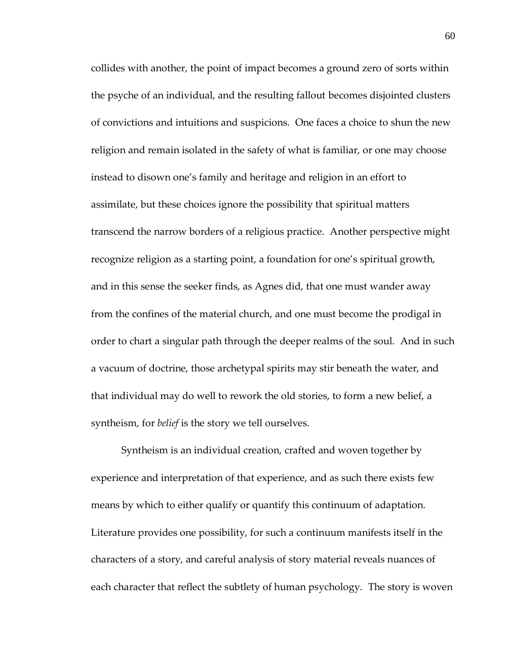collides with another, the point of impact becomes a ground zero of sorts within the psyche of an individual, and the resulting fallout becomes disjointed clusters of convictions and intuitions and suspicions. One faces a choice to shun the new religion and remain isolated in the safety of what is familiar, or one may choose instead to disown one's family and heritage and religion in an effort to assimilate, but these choices ignore the possibility that spiritual matters transcend the narrow borders of a religious practice. Another perspective might recognize religion as a starting point, a foundation for one's spiritual growth, and in this sense the seeker finds, as Agnes did, that one must wander away from the confines of the material church, and one must become the prodigal in order to chart a singular path through the deeper realms of the soul. And in such a vacuum of doctrine, those archetypal spirits may stir beneath the water, and that individual may do well to rework the old stories, to form a new belief, a syntheism, for *belief* is the story we tell ourselves.

Syntheism is an individual creation, crafted and woven together by experience and interpretation of that experience, and as such there exists few means by which to either qualify or quantify this continuum of adaptation. Literature provides one possibility, for such a continuum manifests itself in the characters of a story, and careful analysis of story material reveals nuances of each character that reflect the subtlety of human psychology. The story is woven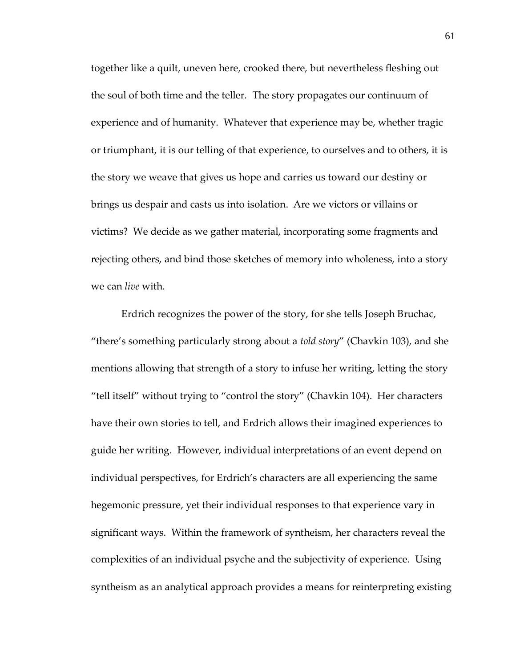together like a quilt, uneven here, crooked there, but nevertheless fleshing out the soul of both time and the teller. The story propagates our continuum of experience and of humanity. Whatever that experience may be, whether tragic or triumphant, it is our telling of that experience, to ourselves and to others, it is the story we weave that gives us hope and carries us toward our destiny or brings us despair and casts us into isolation. Are we victors or villains or victims? We decide as we gather material, incorporating some fragments and rejecting others, and bind those sketches of memory into wholeness, into a story we can *live* with.

Erdrich recognizes the power of the story, for she tells Joseph Bruchac, 'there's something particularly strong about a *told story*' (Chavkin 103), and she mentions allowing that strength of a story to infuse her writing, letting the story 'tell itself' without trying to 'control the story' (Chavkin 104). Her characters have their own stories to tell, and Erdrich allows their imagined experiences to guide her writing. However, individual interpretations of an event depend on individual perspectives, for Erdrich's characters are all experiencing the same hegemonic pressure, yet their individual responses to that experience vary in significant ways. Within the framework of syntheism, her characters reveal the complexities of an individual psyche and the subjectivity of experience. Using syntheism as an analytical approach provides a means for reinterpreting existing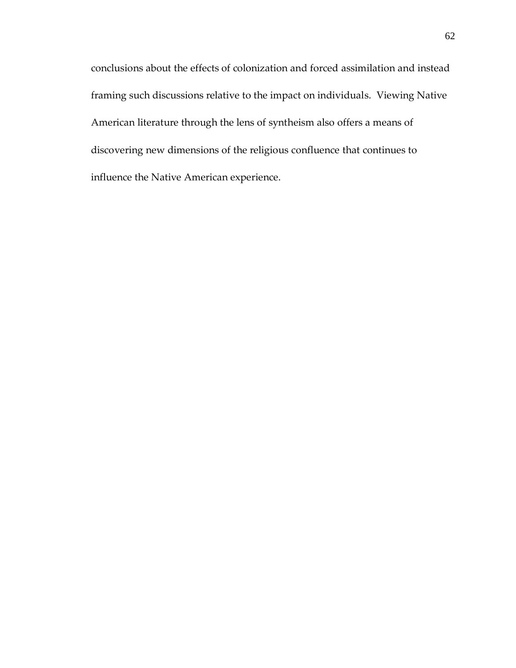conclusions about the effects of colonization and forced assimilation and instead framing such discussions relative to the impact on individuals. Viewing Native American literature through the lens of syntheism also offers a means of discovering new dimensions of the religious confluence that continues to influence the Native American experience.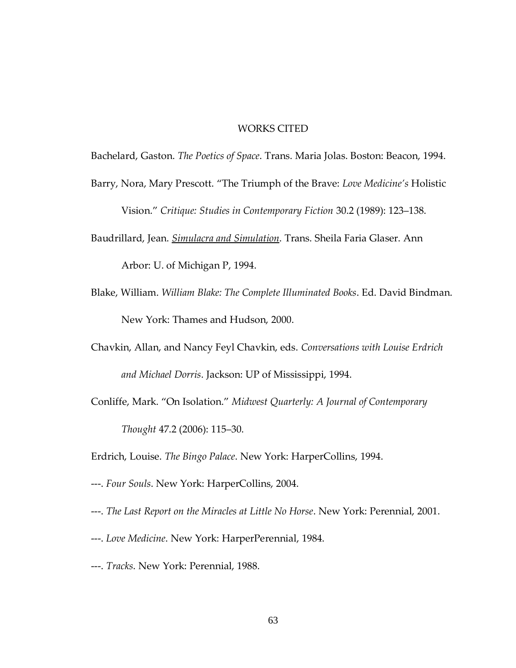## WORKS CITED

Bachelard, Gaston. *The Poetics of Space*. Trans. Maria Jolas. Boston: Beacon, 1994.

- Barry, Nora, Mary Prescott. 'The Triumph of the Brave: *Love Medicine's* Holistic Vision.' *Critique: Studies in Contemporary Fiction* 30.2 (1989): 123–138.
- Baudrillard, Jean. *Simulacra and Simulation*. Trans. Sheila Faria Glaser. Ann Arbor: U. of Michigan P, 1994.
- Blake, William. *William Blake: The Complete Illuminated Books*. Ed. David Bindman. New York: Thames and Hudson, 2000.
- Chavkin, Allan, and Nancy Feyl Chavkin, eds. *Conversations with Louise Erdrich and Michael Dorris*. Jackson: UP of Mississippi, 1994.
- Conliffe, Mark. 'On Isolation.' *Midwest Quarterly: A Journal of Contemporary Thought* 47.2 (2006): 115–30.
- Erdrich, Louise. *The Bingo Palace*. New York: HarperCollins, 1994.
- ---. *Four Souls*. New York: HarperCollins, 2004.
- ---. *The Last Report on the Miracles at Little No Horse*. New York: Perennial, 2001.
- ---. *Love Medicine*. New York: HarperPerennial, 1984.
- ---. *Tracks*. New York: Perennial, 1988.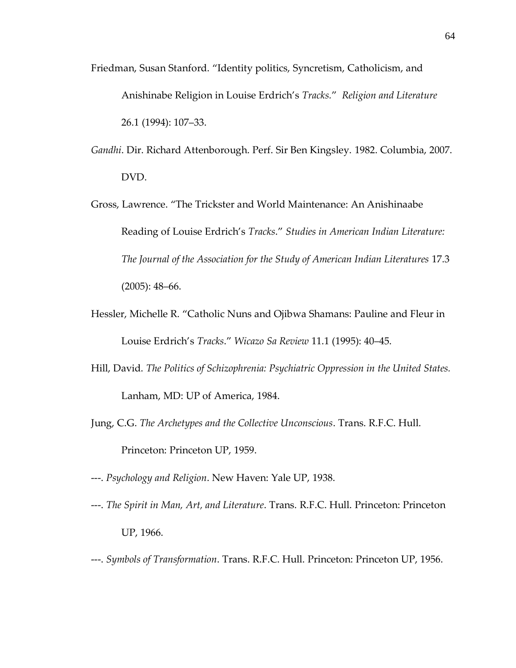- Friedman, Susan Stanford. 'Identity politics, Syncretism, Catholicism, and Anishinabe Religion in Louise Erdrich's *Tracks.*' *Religion and Literature*  26.1 (1994): 107–33.
- *Gandhi*. Dir. Richard Attenborough. Perf. Sir Ben Kingsley. 1982. Columbia, 2007. DVD.
- Gross, Lawrence. 'The Trickster and World Maintenance: An Anishinaabe Reading of Louise Erdrich's *Tracks*.' *Studies in American Indian Literature: The Journal of the Association for the Study of American Indian Literatures* 17.3 (2005): 48–66.
- Hessler, Michelle R. 'Catholic Nuns and Ojibwa Shamans: Pauline and Fleur in Louise Erdrich's *Tracks*.' *Wicazo Sa Review* 11.1 (1995): 40–45.
- Hill, David. *The Politics of Schizophrenia: Psychiatric Oppression in the United States.* Lanham, MD: UP of America, 1984.
- Jung, C.G. *The Archetypes and the Collective Unconscious*. Trans. R.F.C. Hull. Princeton: Princeton UP, 1959.
- ---. *Psychology and Religion*. New Haven: Yale UP, 1938.
- ---. *The Spirit in Man, Art, and Literature*. Trans. R.F.C. Hull. Princeton: Princeton UP, 1966.
- ---. *Symbols of Transformation*. Trans. R.F.C. Hull. Princeton: Princeton UP, 1956.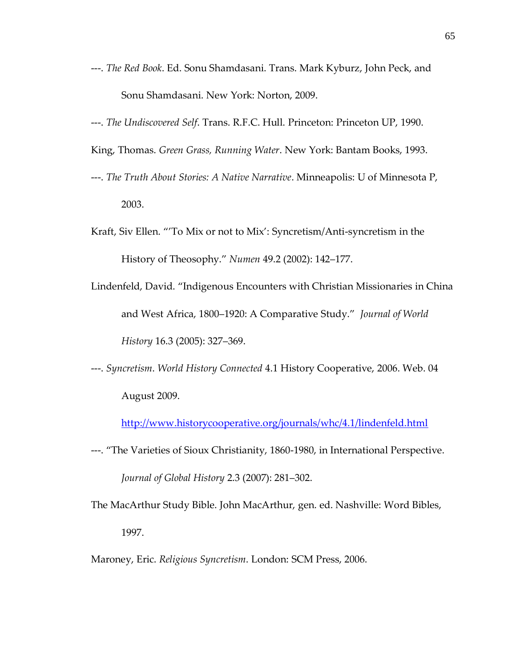- ---. *The Red Book*. Ed. Sonu Shamdasani. Trans. Mark Kyburz, John Peck, and Sonu Shamdasani. New York: Norton, 2009.
- ---. *The Undiscovered Self*. Trans. R.F.C. Hull. Princeton: Princeton UP, 1990.
- King, Thomas. *Green Grass, Running Water*. New York: Bantam Books, 1993.
- ---. *The Truth About Stories: A Native Narrative*. Minneapolis: U of Minnesota P, 2003.
- Kraft, Siv Ellen. ''To Mix or not to Mix': Syncretism/Anti-syncretism in the History of Theosophy.' *Numen* 49.2 (2002): 142–177.
- Lindenfeld, David. 'Indigenous Encounters with Christian Missionaries in China and West Africa, 1800–1920: A Comparative Study.' *Journal of World History* 16.3 (2005): 327–369.
- ---. *Syncretism*. *World History Connected* 4.1 History Cooperative, 2006. Web. 04 August 2009.

<http://www.historycooperative.org/journals/whc/4.1/lindenfeld.html>

- ---. 'The Varieties of Sioux Christianity, 1860-1980, in International Perspective. *Journal of Global History* 2.3 (2007): 281–302.
- The MacArthur Study Bible. John MacArthur, gen. ed. Nashville: Word Bibles, 1997.

Maroney, Eric. *Religious Syncretism*. London: SCM Press, 2006.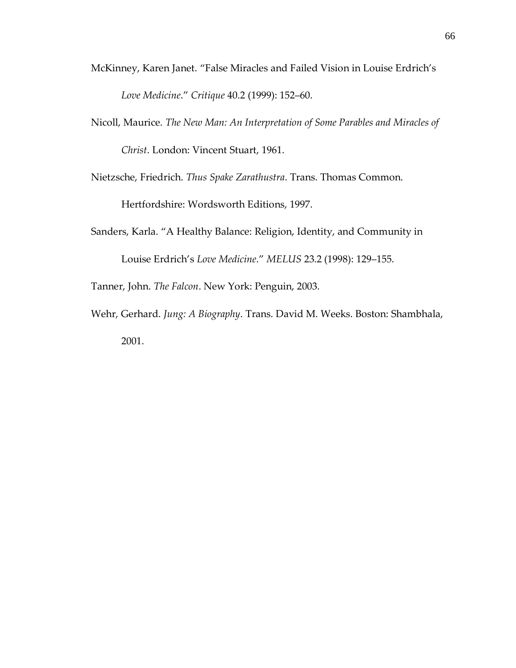- McKinney, Karen Janet. 'False Miracles and Failed Vision in Louise Erdrich's *Love Medicine*.' *Critique* 40.2 (1999): 152–60.
- Nicoll, Maurice. *The New Man: An Interpretation of Some Parables and Miracles of Christ*. London: Vincent Stuart, 1961.
- Nietzsche, Friedrich. *Thus Spake Zarathustra*. Trans. Thomas Common.

Hertfordshire: Wordsworth Editions, 1997.

- Sanders, Karla. 'A Healthy Balance: Religion, Identity, and Community in Louise Erdrich's *Love Medicine*.' *MELUS* 23.2 (1998): 129–155.
- Tanner, John. *The Falcon*. New York: Penguin, 2003.
- Wehr, Gerhard. *Jung: A Biography*. Trans. David M. Weeks. Boston: Shambhala, 2001.